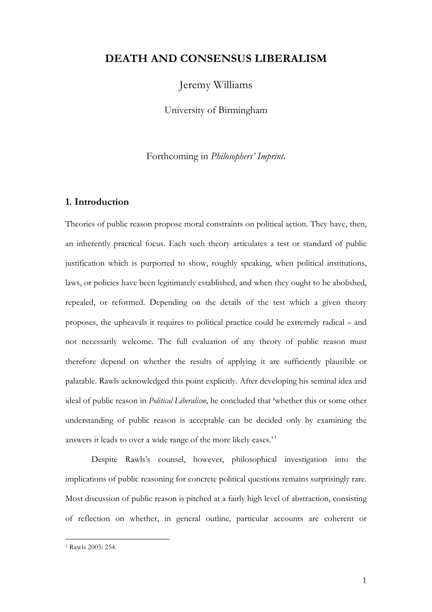# **DEATH AND CONSENSUS LIBERALISM**

Jeremy Williams

University of Birmingham

Forthcoming in *Philosophers' Imprint*.

### **1. Introduction**

Theories of public reason propose moral constraints on political action. They have, then, an inherently practical focus. Each such theory articulates a test or standard of public justification which is purported to show, roughly speaking, when political institutions, laws, or policies have been legitimately established, and when they ought to be abolished, repealed, or reformed. Depending on the details of the test which a given theory proposes, the upheavals it requires to political practice could be extremely radical – and not necessarily welcome. The full evaluation of any theory of public reason must therefore depend on whether the results of applying it are sufficiently plausible or palatable. Rawls acknowledged this point explicitly. After developing his seminal idea and ideal of public reason in *Political Liberalism*, he concluded that 'whether this or some other understanding of public reason is acceptable can be decided only by examining the answers it leads to over a wide range of the more likely cases.<sup>'1</sup>

Despite Rawls's counsel, however, philosophical investigation into the implications of public reasoning for concrete political questions remains surprisingly rare. Most discussion of public reason is pitched at a fairly high level of abstraction, consisting of reflection on whether, in general outline, particular accounts are coherent or

<sup>1</sup> Rawls 2005: 254.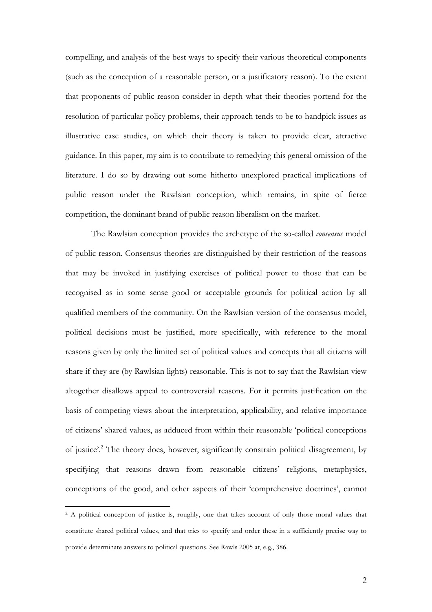compelling, and analysis of the best ways to specify their various theoretical components (such as the conception of a reasonable person, or a justificatory reason). To the extent that proponents of public reason consider in depth what their theories portend for the resolution of particular policy problems, their approach tends to be to handpick issues as illustrative case studies, on which their theory is taken to provide clear, attractive guidance. In this paper, my aim is to contribute to remedying this general omission of the literature. I do so by drawing out some hitherto unexplored practical implications of public reason under the Rawlsian conception, which remains, in spite of fierce competition, the dominant brand of public reason liberalism on the market.

The Rawlsian conception provides the archetype of the so-called *consensus* model of public reason. Consensus theories are distinguished by their restriction of the reasons that may be invoked in justifying exercises of political power to those that can be recognised as in some sense good or acceptable grounds for political action by all qualified members of the community. On the Rawlsian version of the consensus model, political decisions must be justified, more specifically, with reference to the moral reasons given by only the limited set of political values and concepts that all citizens will share if they are (by Rawlsian lights) reasonable. This is not to say that the Rawlsian view altogether disallows appeal to controversial reasons. For it permits justification on the basis of competing views about the interpretation, applicability, and relative importance of citizens' shared values, as adduced from within their reasonable 'political conceptions of justice'.2 The theory does, however, significantly constrain political disagreement, by specifying that reasons drawn from reasonable citizens' religions, metaphysics, conceptions of the good, and other aspects of their 'comprehensive doctrines', cannot

<sup>&</sup>lt;sup>2</sup> A political conception of justice is, roughly, one that takes account of only those moral values that constitute shared political values, and that tries to specify and order these in a sufficiently precise way to provide determinate answers to political questions. See Rawls 2005 at, e.g., 386.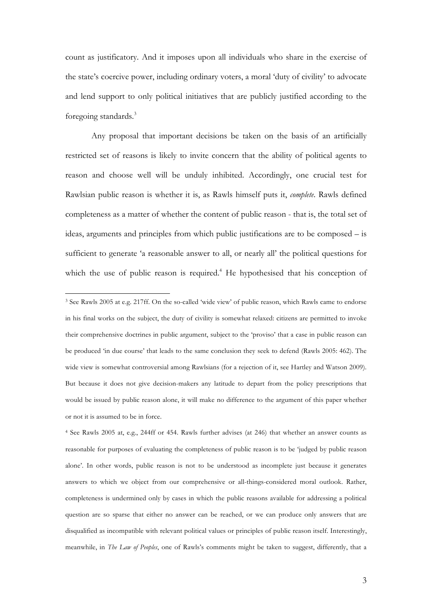count as justificatory. And it imposes upon all individuals who share in the exercise of the state's coercive power, including ordinary voters, a moral 'duty of civility' to advocate and lend support to only political initiatives that are publicly justified according to the foregoing standards.3

Any proposal that important decisions be taken on the basis of an artificially restricted set of reasons is likely to invite concern that the ability of political agents to reason and choose well will be unduly inhibited. Accordingly, one crucial test for Rawlsian public reason is whether it is, as Rawls himself puts it, *complete*. Rawls defined completeness as a matter of whether the content of public reason - that is, the total set of ideas, arguments and principles from which public justifications are to be composed – is sufficient to generate 'a reasonable answer to all, or nearly all' the political questions for which the use of public reason is required.<sup>4</sup> He hypothesised that his conception of

 

<sup>4</sup> See Rawls 2005 at, e.g., 244ff or 454. Rawls further advises (at 246) that whether an answer counts as reasonable for purposes of evaluating the completeness of public reason is to be 'judged by public reason alone'. In other words, public reason is not to be understood as incomplete just because it generates answers to which we object from our comprehensive or all-things-considered moral outlook. Rather, completeness is undermined only by cases in which the public reasons available for addressing a political question are so sparse that either no answer can be reached, or we can produce only answers that are disqualified as incompatible with relevant political values or principles of public reason itself. Interestingly, meanwhile, in *The Law of Peoples*, one of Rawls's comments might be taken to suggest, differently, that a

<sup>3</sup> See Rawls 2005 at e.g. 217ff. On the so-called 'wide view' of public reason, which Rawls came to endorse in his final works on the subject, the duty of civility is somewhat relaxed: citizens are permitted to invoke their comprehensive doctrines in public argument, subject to the 'proviso' that a case in public reason can be produced 'in due course' that leads to the same conclusion they seek to defend (Rawls 2005: 462). The wide view is somewhat controversial among Rawlsians (for a rejection of it, see Hartley and Watson 2009). But because it does not give decision-makers any latitude to depart from the policy prescriptions that would be issued by public reason alone, it will make no difference to the argument of this paper whether or not it is assumed to be in force.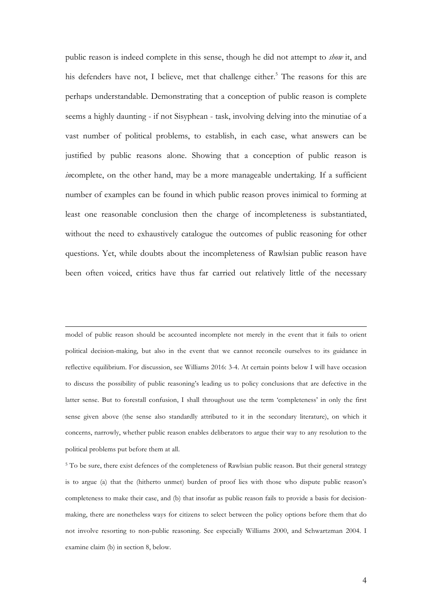public reason is indeed complete in this sense, though he did not attempt to *show* it, and his defenders have not. I believe, met that challenge either.<sup>5</sup> The reasons for this are perhaps understandable. Demonstrating that a conception of public reason is complete seems a highly daunting - if not Sisyphean - task, involving delving into the minutiae of a vast number of political problems, to establish, in each case, what answers can be justified by public reasons alone. Showing that a conception of public reason is *in*complete, on the other hand, may be a more manageable undertaking. If a sufficient number of examples can be found in which public reason proves inimical to forming at least one reasonable conclusion then the charge of incompleteness is substantiated, without the need to exhaustively catalogue the outcomes of public reasoning for other questions. Yet, while doubts about the incompleteness of Rawlsian public reason have been often voiced, critics have thus far carried out relatively little of the necessary

model of public reason should be accounted incomplete not merely in the event that it fails to orient political decision-making, but also in the event that we cannot reconcile ourselves to its guidance in reflective equilibrium. For discussion, see Williams 2016: 3-4. At certain points below I will have occasion to discuss the possibility of public reasoning's leading us to policy conclusions that are defective in the latter sense. But to forestall confusion, I shall throughout use the term 'completeness' in only the first sense given above (the sense also standardly attributed to it in the secondary literature), on which it concerns, narrowly, whether public reason enables deliberators to argue their way to any resolution to the political problems put before them at all.

<u> 1989 - Jan Samuel Barbara, martxa a shekara 1980 - Anna a shekara 1980 - Anna a shekara 1980 - Anna a shekar</u>

<sup>5</sup> To be sure, there exist defences of the completeness of Rawlsian public reason. But their general strategy is to argue (a) that the (hitherto unmet) burden of proof lies with those who dispute public reason's completeness to make their case, and (b) that insofar as public reason fails to provide a basis for decisionmaking, there are nonetheless ways for citizens to select between the policy options before them that do not involve resorting to non-public reasoning. See especially Williams 2000, and Schwartzman 2004. I examine claim (b) in section 8, below.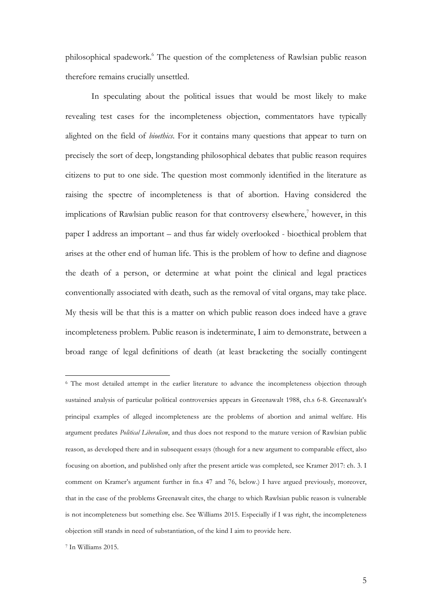philosophical spadework.6 The question of the completeness of Rawlsian public reason therefore remains crucially unsettled.

In speculating about the political issues that would be most likely to make revealing test cases for the incompleteness objection, commentators have typically alighted on the field of *bioethics*. For it contains many questions that appear to turn on precisely the sort of deep, longstanding philosophical debates that public reason requires citizens to put to one side. The question most commonly identified in the literature as raising the spectre of incompleteness is that of abortion. Having considered the implications of Rawlsian public reason for that controversy elsewhere, $\bar{z}$  however, in this paper I address an important – and thus far widely overlooked - bioethical problem that arises at the other end of human life. This is the problem of how to define and diagnose the death of a person, or determine at what point the clinical and legal practices conventionally associated with death, such as the removal of vital organs, may take place. My thesis will be that this is a matter on which public reason does indeed have a grave incompleteness problem. Public reason is indeterminate, I aim to demonstrate, between a broad range of legal definitions of death (at least bracketing the socially contingent

<sup>&</sup>lt;sup>6</sup> The most detailed attempt in the earlier literature to advance the incompleteness objection through sustained analysis of particular political controversies appears in Greenawalt 1988, ch.s 6-8. Greenawalt's principal examples of alleged incompleteness are the problems of abortion and animal welfare. His argument predates *Political Liberalism*, and thus does not respond to the mature version of Rawlsian public reason, as developed there and in subsequent essays (though for a new argument to comparable effect, also focusing on abortion, and published only after the present article was completed, see Kramer 2017: ch. 3. I comment on Kramer's argument further in fn.s 47 and 76, below.) I have argued previously, moreover, that in the case of the problems Greenawalt cites, the charge to which Rawlsian public reason is vulnerable is not incompleteness but something else. See Williams 2015. Especially if I was right, the incompleteness objection still stands in need of substantiation, of the kind I aim to provide here.

<sup>7</sup> In Williams 2015.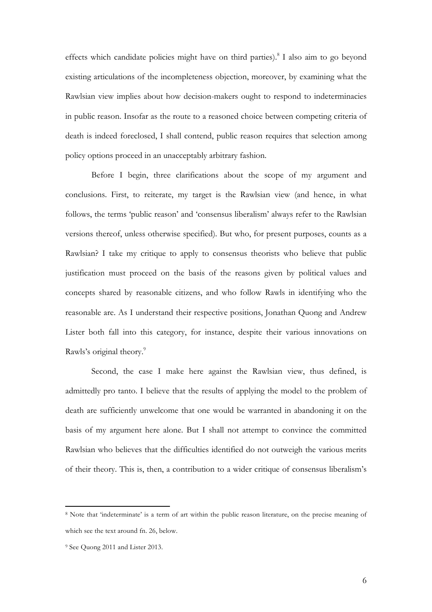effects which candidate policies might have on third parties).<sup>8</sup> I also aim to go beyond existing articulations of the incompleteness objection, moreover, by examining what the Rawlsian view implies about how decision-makers ought to respond to indeterminacies in public reason. Insofar as the route to a reasoned choice between competing criteria of death is indeed foreclosed, I shall contend, public reason requires that selection among policy options proceed in an unacceptably arbitrary fashion.

Before I begin, three clarifications about the scope of my argument and conclusions. First, to reiterate, my target is the Rawlsian view (and hence, in what follows, the terms 'public reason' and 'consensus liberalism' always refer to the Rawlsian versions thereof, unless otherwise specified). But who, for present purposes, counts as a Rawlsian? I take my critique to apply to consensus theorists who believe that public justification must proceed on the basis of the reasons given by political values and concepts shared by reasonable citizens, and who follow Rawls in identifying who the reasonable are. As I understand their respective positions, Jonathan Quong and Andrew Lister both fall into this category, for instance, despite their various innovations on Rawls's original theory.<sup>9</sup>

Second, the case I make here against the Rawlsian view, thus defined, is admittedly pro tanto. I believe that the results of applying the model to the problem of death are sufficiently unwelcome that one would be warranted in abandoning it on the basis of my argument here alone. But I shall not attempt to convince the committed Rawlsian who believes that the difficulties identified do not outweigh the various merits of their theory. This is, then, a contribution to a wider critique of consensus liberalism's

<sup>8</sup> Note that 'indeterminate' is a term of art within the public reason literature, on the precise meaning of which see the text around fn. 26, below.

<sup>9</sup> See Quong 2011 and Lister 2013.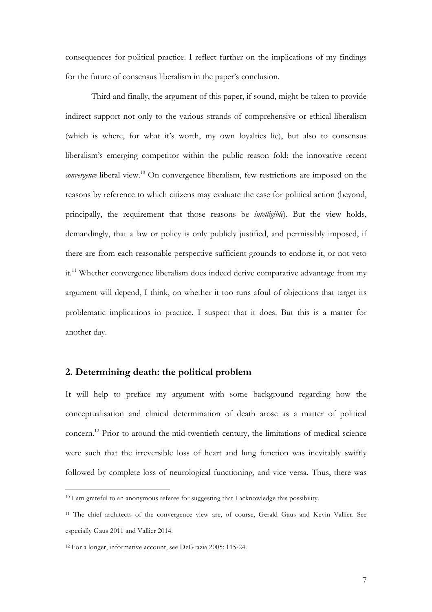consequences for political practice. I reflect further on the implications of my findings for the future of consensus liberalism in the paper's conclusion.

Third and finally, the argument of this paper, if sound, might be taken to provide indirect support not only to the various strands of comprehensive or ethical liberalism (which is where, for what it's worth, my own loyalties lie), but also to consensus liberalism's emerging competitor within the public reason fold: the innovative recent *convergence* liberal view.<sup>10</sup> On convergence liberalism, few restrictions are imposed on the reasons by reference to which citizens may evaluate the case for political action (beyond, principally, the requirement that those reasons be *intelligible*). But the view holds, demandingly, that a law or policy is only publicly justified, and permissibly imposed, if there are from each reasonable perspective sufficient grounds to endorse it, or not veto it.<sup>11</sup> Whether convergence liberalism does indeed derive comparative advantage from my argument will depend, I think, on whether it too runs afoul of objections that target its problematic implications in practice. I suspect that it does. But this is a matter for another day.

## **2. Determining death: the political problem**

It will help to preface my argument with some background regarding how the conceptualisation and clinical determination of death arose as a matter of political concern.12 Prior to around the mid-twentieth century, the limitations of medical science were such that the irreversible loss of heart and lung function was inevitably swiftly followed by complete loss of neurological functioning, and vice versa. Thus, there was

<sup>&</sup>lt;sup>10</sup> I am grateful to an anonymous referee for suggesting that I acknowledge this possibility.

<sup>11</sup> The chief architects of the convergence view are, of course, Gerald Gaus and Kevin Vallier. See especially Gaus 2011 and Vallier 2014.

<sup>12</sup> For a longer, informative account, see DeGrazia 2005: 115-24.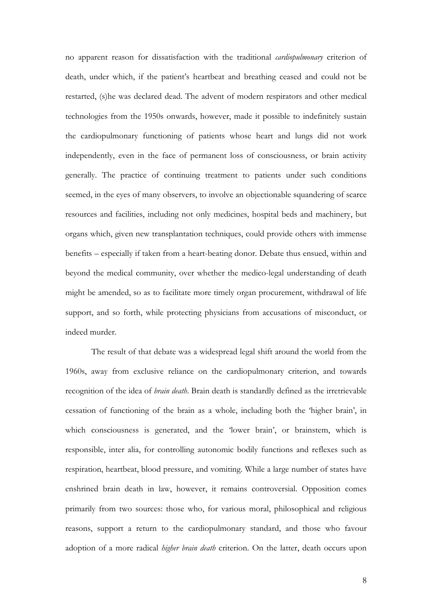no apparent reason for dissatisfaction with the traditional *cardiopulmonary* criterion of death, under which, if the patient's heartbeat and breathing ceased and could not be restarted, (s)he was declared dead. The advent of modern respirators and other medical technologies from the 1950s onwards, however, made it possible to indefinitely sustain the cardiopulmonary functioning of patients whose heart and lungs did not work independently, even in the face of permanent loss of consciousness, or brain activity generally. The practice of continuing treatment to patients under such conditions seemed, in the eyes of many observers, to involve an objectionable squandering of scarce resources and facilities, including not only medicines, hospital beds and machinery, but organs which, given new transplantation techniques, could provide others with immense benefits – especially if taken from a heart-beating donor. Debate thus ensued, within and beyond the medical community, over whether the medico-legal understanding of death might be amended, so as to facilitate more timely organ procurement, withdrawal of life support, and so forth, while protecting physicians from accusations of misconduct, or indeed murder.

The result of that debate was a widespread legal shift around the world from the 1960s, away from exclusive reliance on the cardiopulmonary criterion, and towards recognition of the idea of *brain death*. Brain death is standardly defined as the irretrievable cessation of functioning of the brain as a whole, including both the 'higher brain', in which consciousness is generated, and the 'lower brain', or brainstem, which is responsible, inter alia, for controlling autonomic bodily functions and reflexes such as respiration, heartbeat, blood pressure, and vomiting. While a large number of states have enshrined brain death in law, however, it remains controversial. Opposition comes primarily from two sources: those who, for various moral, philosophical and religious reasons, support a return to the cardiopulmonary standard, and those who favour adoption of a more radical *higher brain death* criterion. On the latter, death occurs upon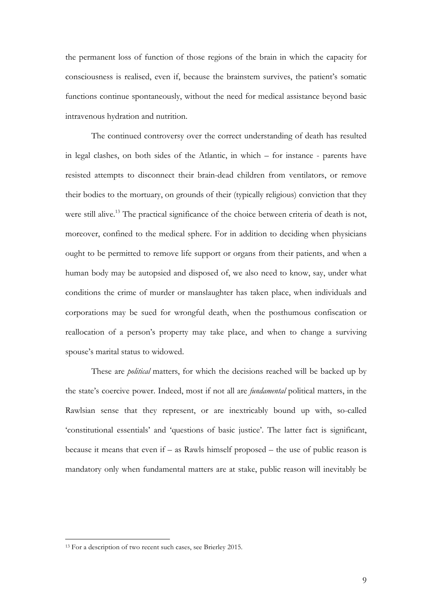the permanent loss of function of those regions of the brain in which the capacity for consciousness is realised, even if, because the brainstem survives, the patient's somatic functions continue spontaneously, without the need for medical assistance beyond basic intravenous hydration and nutrition.

The continued controversy over the correct understanding of death has resulted in legal clashes, on both sides of the Atlantic, in which – for instance - parents have resisted attempts to disconnect their brain-dead children from ventilators, or remove their bodies to the mortuary, on grounds of their (typically religious) conviction that they were still alive.<sup>13</sup> The practical significance of the choice between criteria of death is not, moreover, confined to the medical sphere. For in addition to deciding when physicians ought to be permitted to remove life support or organs from their patients, and when a human body may be autopsied and disposed of, we also need to know, say, under what conditions the crime of murder or manslaughter has taken place, when individuals and corporations may be sued for wrongful death, when the posthumous confiscation or reallocation of a person's property may take place, and when to change a surviving spouse's marital status to widowed.

These are *political* matters, for which the decisions reached will be backed up by the state's coercive power. Indeed, most if not all are *fundamental* political matters, in the Rawlsian sense that they represent, or are inextricably bound up with, so-called 'constitutional essentials' and 'questions of basic justice'. The latter fact is significant, because it means that even if – as Rawls himself proposed – the use of public reason is mandatory only when fundamental matters are at stake, public reason will inevitably be

<sup>&</sup>lt;sup>13</sup> For a description of two recent such cases, see Brierley 2015.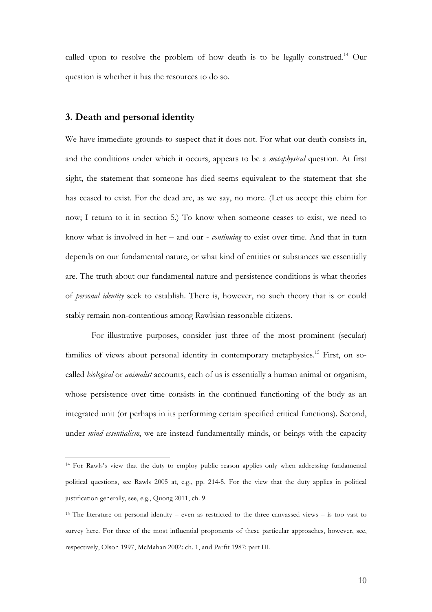called upon to resolve the problem of how death is to be legally construed.<sup>14</sup> Our question is whether it has the resources to do so.

### **3. Death and personal identity**

 

We have immediate grounds to suspect that it does not. For what our death consists in, and the conditions under which it occurs, appears to be a *metaphysical* question. At first sight, the statement that someone has died seems equivalent to the statement that she has ceased to exist. For the dead are, as we say, no more. (Let us accept this claim for now; I return to it in section 5.) To know when someone ceases to exist, we need to know what is involved in her – and our - *continuing* to exist over time. And that in turn depends on our fundamental nature, or what kind of entities or substances we essentially are. The truth about our fundamental nature and persistence conditions is what theories of *personal identity* seek to establish. There is, however, no such theory that is or could stably remain non-contentious among Rawlsian reasonable citizens.

For illustrative purposes, consider just three of the most prominent (secular) families of views about personal identity in contemporary metaphysics.<sup>15</sup> First, on socalled *biological* or *animalist* accounts, each of us is essentially a human animal or organism, whose persistence over time consists in the continued functioning of the body as an integrated unit (or perhaps in its performing certain specified critical functions). Second, under *mind essentialism*, we are instead fundamentally minds, or beings with the capacity

<sup>14</sup> For Rawls's view that the duty to employ public reason applies only when addressing fundamental political questions, see Rawls 2005 at, e.g., pp. 214-5. For the view that the duty applies in political justification generally, see, e.g., Quong 2011, ch. 9.

<sup>15</sup> The literature on personal identity – even as restricted to the three canvassed views – is too vast to survey here. For three of the most influential proponents of these particular approaches, however, see, respectively, Olson 1997, McMahan 2002: ch. 1, and Parfit 1987: part III.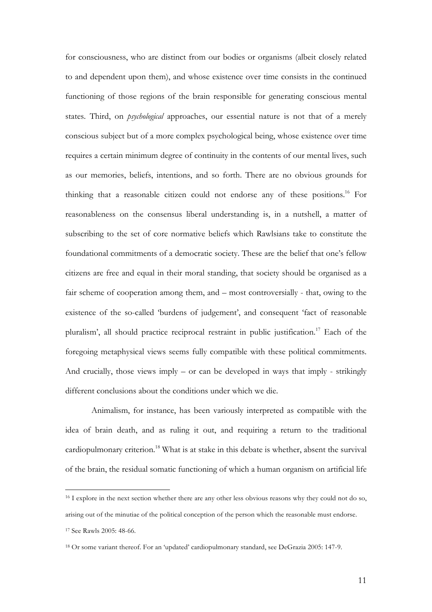for consciousness, who are distinct from our bodies or organisms (albeit closely related to and dependent upon them), and whose existence over time consists in the continued functioning of those regions of the brain responsible for generating conscious mental states. Third, on *psychological* approaches, our essential nature is not that of a merely conscious subject but of a more complex psychological being, whose existence over time requires a certain minimum degree of continuity in the contents of our mental lives, such as our memories, beliefs, intentions, and so forth. There are no obvious grounds for thinking that a reasonable citizen could not endorse any of these positions.16 For reasonableness on the consensus liberal understanding is, in a nutshell, a matter of subscribing to the set of core normative beliefs which Rawlsians take to constitute the foundational commitments of a democratic society. These are the belief that one's fellow citizens are free and equal in their moral standing, that society should be organised as a fair scheme of cooperation among them, and – most controversially - that, owing to the existence of the so-called 'burdens of judgement', and consequent 'fact of reasonable pluralism', all should practice reciprocal restraint in public justification.17 Each of the foregoing metaphysical views seems fully compatible with these political commitments. And crucially, those views imply – or can be developed in ways that imply - strikingly different conclusions about the conditions under which we die.

Animalism, for instance, has been variously interpreted as compatible with the idea of brain death, and as ruling it out, and requiring a return to the traditional cardiopulmonary criterion.<sup>18</sup> What is at stake in this debate is whether, absent the survival of the brain, the residual somatic functioning of which a human organism on artificial life

<sup>&</sup>lt;sup>16</sup> I explore in the next section whether there are any other less obvious reasons why they could not do so, arising out of the minutiae of the political conception of the person which the reasonable must endorse. <sup>17</sup> See Rawls 2005: 48-66.

<sup>18</sup> Or some variant thereof. For an 'updated' cardiopulmonary standard, see DeGrazia 2005: 147-9.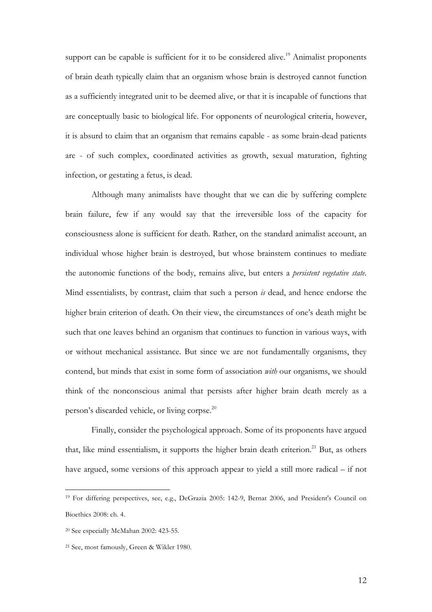support can be capable is sufficient for it to be considered alive.<sup>19</sup> Animalist proponents of brain death typically claim that an organism whose brain is destroyed cannot function as a sufficiently integrated unit to be deemed alive, or that it is incapable of functions that are conceptually basic to biological life. For opponents of neurological criteria, however, it is absurd to claim that an organism that remains capable - as some brain-dead patients are - of such complex, coordinated activities as growth, sexual maturation, fighting infection, or gestating a fetus, is dead.

Although many animalists have thought that we can die by suffering complete brain failure, few if any would say that the irreversible loss of the capacity for consciousness alone is sufficient for death. Rather, on the standard animalist account, an individual whose higher brain is destroyed, but whose brainstem continues to mediate the autonomic functions of the body, remains alive, but enters a *persistent vegetative state*. Mind essentialists, by contrast, claim that such a person *is* dead, and hence endorse the higher brain criterion of death. On their view, the circumstances of one's death might be such that one leaves behind an organism that continues to function in various ways, with or without mechanical assistance. But since we are not fundamentally organisms, they contend, but minds that exist in some form of association *with* our organisms, we should think of the nonconscious animal that persists after higher brain death merely as a person's discarded vehicle, or living corpse.<sup>20</sup>

Finally, consider the psychological approach. Some of its proponents have argued that, like mind essentialism, it supports the higher brain death criterion.<sup>21</sup> But, as others have argued, some versions of this approach appear to yield a still more radical – if not

<sup>19</sup> For differing perspectives, see, e.g., DeGrazia 2005: 142-9, Bernat 2006, and President's Council on Bioethics 2008: ch. 4.

<sup>20</sup> See especially McMahan 2002: 423-55.

<sup>21</sup> See, most famously, Green & Wikler 1980.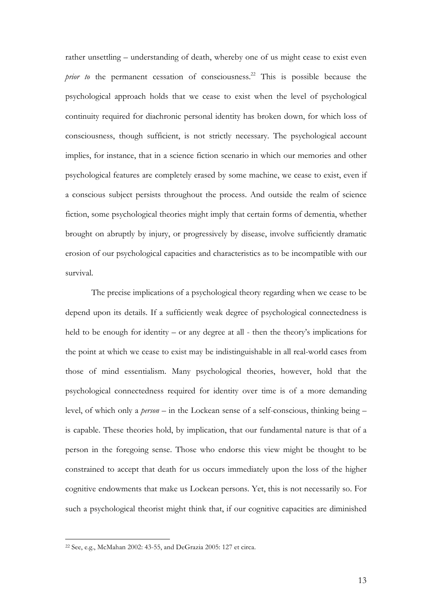rather unsettling – understanding of death, whereby one of us might cease to exist even *prior to* the permanent cessation of consciousness.<sup>22</sup> This is possible because the psychological approach holds that we cease to exist when the level of psychological continuity required for diachronic personal identity has broken down, for which loss of consciousness, though sufficient, is not strictly necessary. The psychological account implies, for instance, that in a science fiction scenario in which our memories and other psychological features are completely erased by some machine, we cease to exist, even if a conscious subject persists throughout the process. And outside the realm of science fiction, some psychological theories might imply that certain forms of dementia, whether brought on abruptly by injury, or progressively by disease, involve sufficiently dramatic erosion of our psychological capacities and characteristics as to be incompatible with our survival.

The precise implications of a psychological theory regarding when we cease to be depend upon its details. If a sufficiently weak degree of psychological connectedness is held to be enough for identity – or any degree at all - then the theory's implications for the point at which we cease to exist may be indistinguishable in all real-world cases from those of mind essentialism. Many psychological theories, however, hold that the psychological connectedness required for identity over time is of a more demanding level, of which only a *person* – in the Lockean sense of a self-conscious, thinking being – is capable. These theories hold, by implication, that our fundamental nature is that of a person in the foregoing sense. Those who endorse this view might be thought to be constrained to accept that death for us occurs immediately upon the loss of the higher cognitive endowments that make us Lockean persons. Yet, this is not necessarily so. For such a psychological theorist might think that, if our cognitive capacities are diminished

<sup>22</sup> See, e.g., McMahan 2002: 43-55, and DeGrazia 2005: 127 et circa.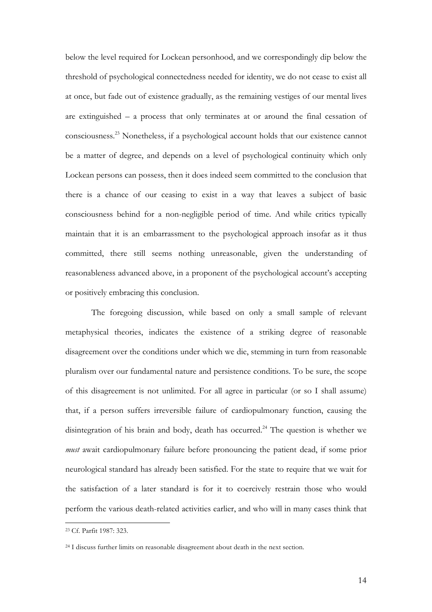below the level required for Lockean personhood, and we correspondingly dip below the threshold of psychological connectedness needed for identity, we do not cease to exist all at once, but fade out of existence gradually, as the remaining vestiges of our mental lives are extinguished – a process that only terminates at or around the final cessation of consciousness.23 Nonetheless, if a psychological account holds that our existence cannot be a matter of degree, and depends on a level of psychological continuity which only Lockean persons can possess, then it does indeed seem committed to the conclusion that there is a chance of our ceasing to exist in a way that leaves a subject of basic consciousness behind for a non-negligible period of time. And while critics typically maintain that it is an embarrassment to the psychological approach insofar as it thus committed, there still seems nothing unreasonable, given the understanding of reasonableness advanced above, in a proponent of the psychological account's accepting or positively embracing this conclusion.

The foregoing discussion, while based on only a small sample of relevant metaphysical theories, indicates the existence of a striking degree of reasonable disagreement over the conditions under which we die, stemming in turn from reasonable pluralism over our fundamental nature and persistence conditions. To be sure, the scope of this disagreement is not unlimited. For all agree in particular (or so I shall assume) that, if a person suffers irreversible failure of cardiopulmonary function, causing the disintegration of his brain and body, death has occurred.<sup>24</sup> The question is whether we *must* await cardiopulmonary failure before pronouncing the patient dead, if some prior neurological standard has already been satisfied. For the state to require that we wait for the satisfaction of a later standard is for it to coercively restrain those who would perform the various death-related activities earlier, and who will in many cases think that

<sup>23</sup> Cf. Parfit 1987: 323.

<sup>24</sup> I discuss further limits on reasonable disagreement about death in the next section.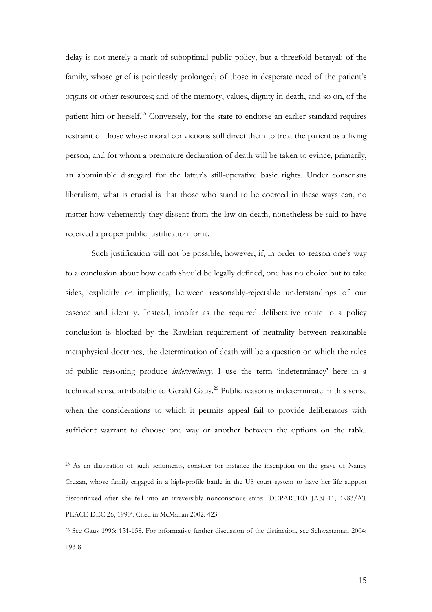delay is not merely a mark of suboptimal public policy, but a threefold betrayal: of the family, whose grief is pointlessly prolonged; of those in desperate need of the patient's organs or other resources; and of the memory, values, dignity in death, and so on, of the patient him or herself.<sup>25</sup> Conversely, for the state to endorse an earlier standard requires restraint of those whose moral convictions still direct them to treat the patient as a living person, and for whom a premature declaration of death will be taken to evince, primarily, an abominable disregard for the latter's still-operative basic rights. Under consensus liberalism, what is crucial is that those who stand to be coerced in these ways can, no matter how vehemently they dissent from the law on death, nonetheless be said to have received a proper public justification for it.

Such justification will not be possible, however, if, in order to reason one's way to a conclusion about how death should be legally defined, one has no choice but to take sides, explicitly or implicitly, between reasonably-rejectable understandings of our essence and identity. Instead, insofar as the required deliberative route to a policy conclusion is blocked by the Rawlsian requirement of neutrality between reasonable metaphysical doctrines, the determination of death will be a question on which the rules of public reasoning produce *indeterminacy*. I use the term 'indeterminacy' here in a technical sense attributable to Gerald Gaus.<sup>26</sup> Public reason is indeterminate in this sense when the considerations to which it permits appeal fail to provide deliberators with sufficient warrant to choose one way or another between the options on the table.

<sup>&</sup>lt;sup>25</sup> As an illustration of such sentiments, consider for instance the inscription on the grave of Nancy Cruzan, whose family engaged in a high-profile battle in the US court system to have her life support discontinued after she fell into an irreversibly nonconscious state: 'DEPARTED JAN 11, 1983/AT PEACE DEC 26, 1990'. Cited in McMahan 2002: 423.

<sup>26</sup> See Gaus 1996: 151-158. For informative further discussion of the distinction, see Schwartzman 2004: 193-8.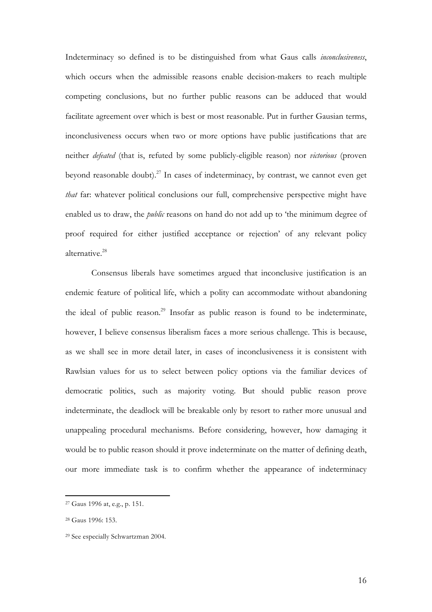Indeterminacy so defined is to be distinguished from what Gaus calls *inconclusiveness*, which occurs when the admissible reasons enable decision-makers to reach multiple competing conclusions, but no further public reasons can be adduced that would facilitate agreement over which is best or most reasonable. Put in further Gausian terms, inconclusiveness occurs when two or more options have public justifications that are neither *defeated* (that is, refuted by some publicly-eligible reason) nor *victorious* (proven beyond reasonable doubt).<sup>27</sup> In cases of indeterminacy, by contrast, we cannot even get *that* far: whatever political conclusions our full, comprehensive perspective might have enabled us to draw, the *public* reasons on hand do not add up to 'the minimum degree of proof required for either justified acceptance or rejection' of any relevant policy alternative.28

Consensus liberals have sometimes argued that inconclusive justification is an endemic feature of political life, which a polity can accommodate without abandoning the ideal of public reason.<sup>29</sup> Insofar as public reason is found to be indeterminate, however, I believe consensus liberalism faces a more serious challenge. This is because, as we shall see in more detail later, in cases of inconclusiveness it is consistent with Rawlsian values for us to select between policy options via the familiar devices of democratic politics, such as majority voting. But should public reason prove indeterminate, the deadlock will be breakable only by resort to rather more unusual and unappealing procedural mechanisms. Before considering, however, how damaging it would be to public reason should it prove indeterminate on the matter of defining death, our more immediate task is to confirm whether the appearance of indeterminacy

<sup>27</sup> Gaus 1996 at, e.g., p. 151.

<sup>28</sup> Gaus 1996: 153.

<sup>29</sup> See especially Schwartzman 2004.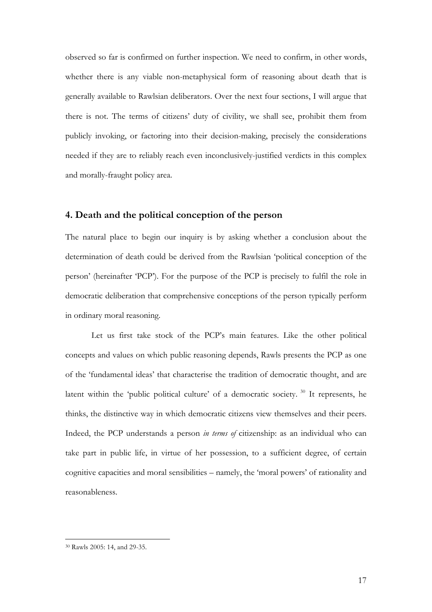observed so far is confirmed on further inspection. We need to confirm, in other words, whether there is any viable non-metaphysical form of reasoning about death that is generally available to Rawlsian deliberators. Over the next four sections, I will argue that there is not. The terms of citizens' duty of civility, we shall see, prohibit them from publicly invoking, or factoring into their decision-making, precisely the considerations needed if they are to reliably reach even inconclusively-justified verdicts in this complex and morally-fraught policy area.

### **4. Death and the political conception of the person**

The natural place to begin our inquiry is by asking whether a conclusion about the determination of death could be derived from the Rawlsian 'political conception of the person' (hereinafter 'PCP'). For the purpose of the PCP is precisely to fulfil the role in democratic deliberation that comprehensive conceptions of the person typically perform in ordinary moral reasoning.

Let us first take stock of the PCP's main features. Like the other political concepts and values on which public reasoning depends, Rawls presents the PCP as one of the 'fundamental ideas' that characterise the tradition of democratic thought, and are latent within the 'public political culture' of a democratic society. <sup>30</sup> It represents, he thinks, the distinctive way in which democratic citizens view themselves and their peers. Indeed, the PCP understands a person *in terms of* citizenship: as an individual who can take part in public life, in virtue of her possession, to a sufficient degree, of certain cognitive capacities and moral sensibilities – namely, the 'moral powers' of rationality and reasonableness.

<sup>30</sup> Rawls 2005: 14, and 29-35.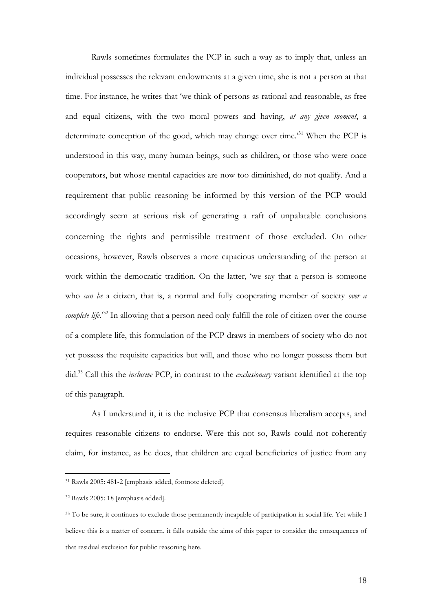Rawls sometimes formulates the PCP in such a way as to imply that, unless an individual possesses the relevant endowments at a given time, she is not a person at that time. For instance, he writes that 'we think of persons as rational and reasonable, as free and equal citizens, with the two moral powers and having, *at any given moment*, a determinate conception of the good, which may change over time.'31 When the PCP is understood in this way, many human beings, such as children, or those who were once cooperators, but whose mental capacities are now too diminished, do not qualify. And a requirement that public reasoning be informed by this version of the PCP would accordingly seem at serious risk of generating a raft of unpalatable conclusions concerning the rights and permissible treatment of those excluded. On other occasions, however, Rawls observes a more capacious understanding of the person at work within the democratic tradition. On the latter, 'we say that a person is someone who *can be* a citizen, that is, a normal and fully cooperating member of society *over a complete life.*<sup>32</sup> In allowing that a person need only fulfill the role of citizen over the course of a complete life, this formulation of the PCP draws in members of society who do not yet possess the requisite capacities but will, and those who no longer possess them but did.33 Call this the *inclusive* PCP, in contrast to the *exclusionary* variant identified at the top of this paragraph.

As I understand it, it is the inclusive PCP that consensus liberalism accepts, and requires reasonable citizens to endorse. Were this not so, Rawls could not coherently claim, for instance, as he does, that children are equal beneficiaries of justice from any

<sup>31</sup> Rawls 2005: 481-2 [emphasis added, footnote deleted].

<sup>32</sup> Rawls 2005: 18 [emphasis added].

<sup>&</sup>lt;sup>33</sup> To be sure, it continues to exclude those permanently incapable of participation in social life. Yet while I believe this is a matter of concern, it falls outside the aims of this paper to consider the consequences of that residual exclusion for public reasoning here.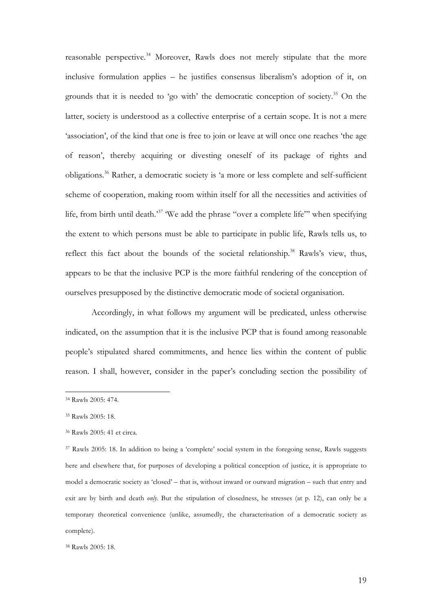reasonable perspective.<sup>34</sup> Moreover, Rawls does not merely stipulate that the more inclusive formulation applies – he justifies consensus liberalism's adoption of it, on grounds that it is needed to 'go with' the democratic conception of society.<sup>35</sup> On the latter, society is understood as a collective enterprise of a certain scope. It is not a mere 'association', of the kind that one is free to join or leave at will once one reaches 'the age of reason', thereby acquiring or divesting oneself of its package of rights and obligations.36 Rather, a democratic society is 'a more or less complete and self-sufficient scheme of cooperation, making room within itself for all the necessities and activities of life, from birth until death.<sup>37</sup> We add the phrase "over a complete life" when specifying the extent to which persons must be able to participate in public life, Rawls tells us, to reflect this fact about the bounds of the societal relationship.<sup>38</sup> Rawls's view, thus, appears to be that the inclusive PCP is the more faithful rendering of the conception of ourselves presupposed by the distinctive democratic mode of societal organisation.

Accordingly, in what follows my argument will be predicated, unless otherwise indicated, on the assumption that it is the inclusive PCP that is found among reasonable people's stipulated shared commitments, and hence lies within the content of public reason. I shall, however, consider in the paper's concluding section the possibility of

<sup>34</sup> Rawls 2005: 474.

<sup>35</sup> Rawls 2005: 18.

<sup>36</sup> Rawls 2005: 41 et circa.

<sup>37</sup> Rawls 2005: 18. In addition to being a 'complete' social system in the foregoing sense, Rawls suggests here and elsewhere that, for purposes of developing a political conception of justice, it is appropriate to model a democratic society as 'closed' – that is, without inward or outward migration – such that entry and exit are by birth and death *only*. But the stipulation of closedness, he stresses (at p. 12), can only be a temporary theoretical convenience (unlike, assumedly, the characterisation of a democratic society as complete).

<sup>38</sup> Rawls 2005: 18.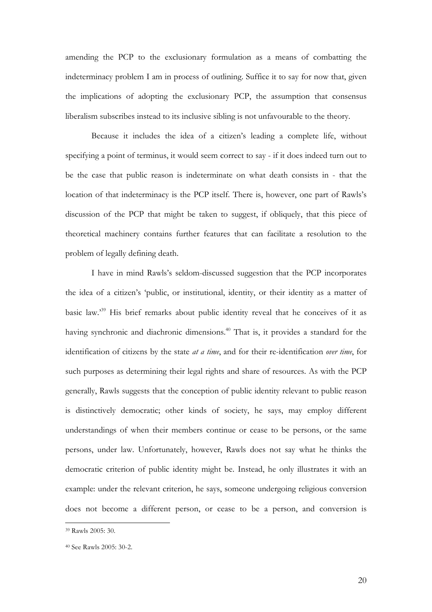amending the PCP to the exclusionary formulation as a means of combatting the indeterminacy problem I am in process of outlining. Suffice it to say for now that, given the implications of adopting the exclusionary PCP, the assumption that consensus liberalism subscribes instead to its inclusive sibling is not unfavourable to the theory.

Because it includes the idea of a citizen's leading a complete life, without specifying a point of terminus, it would seem correct to say - if it does indeed turn out to be the case that public reason is indeterminate on what death consists in - that the location of that indeterminacy is the PCP itself. There is, however, one part of Rawls's discussion of the PCP that might be taken to suggest, if obliquely, that this piece of theoretical machinery contains further features that can facilitate a resolution to the problem of legally defining death.

I have in mind Rawls's seldom-discussed suggestion that the PCP incorporates the idea of a citizen's 'public, or institutional, identity, or their identity as a matter of basic law.'39 His brief remarks about public identity reveal that he conceives of it as having synchronic and diachronic dimensions.<sup>40</sup> That is, it provides a standard for the identification of citizens by the state *at a time*, and for their re-identification *over time*, for such purposes as determining their legal rights and share of resources. As with the PCP generally, Rawls suggests that the conception of public identity relevant to public reason is distinctively democratic; other kinds of society, he says, may employ different understandings of when their members continue or cease to be persons, or the same persons, under law. Unfortunately, however, Rawls does not say what he thinks the democratic criterion of public identity might be. Instead, he only illustrates it with an example: under the relevant criterion, he says, someone undergoing religious conversion does not become a different person, or cease to be a person, and conversion is

<sup>39</sup> Rawls 2005: 30.

<sup>40</sup> See Rawls 2005: 30-2.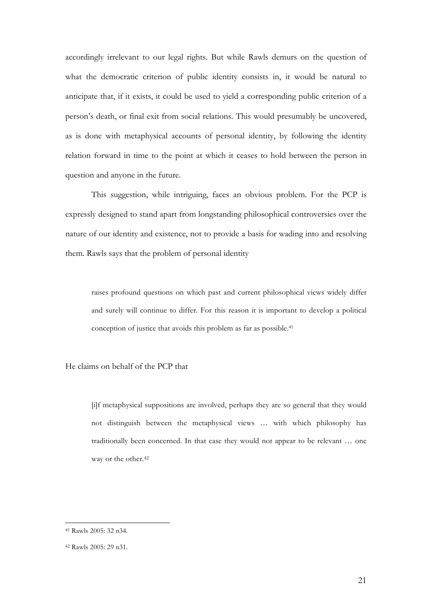accordingly irrelevant to our legal rights. But while Rawls demurs on the question of what the democratic criterion of public identity consists in, it would be natural to anticipate that, if it exists, it could be used to yield a corresponding public criterion of a person's death, or final exit from social relations. This would presumably be uncovered, as is done with metaphysical accounts of personal identity, by following the identity relation forward in time to the point at which it ceases to hold between the person in question and anyone in the future.

This suggestion, while intriguing, faces an obvious problem. For the PCP is expressly designed to stand apart from longstanding philosophical controversies over the nature of our identity and existence, not to provide a basis for wading into and resolving them. Rawls says that the problem of personal identity

raises profound questions on which past and current philosophical views widely differ and surely will continue to differ. For this reason it is important to develop a political conception of justice that avoids this problem as far as possible.41

He claims on behalf of the PCP that

[i]f metaphysical suppositions are involved, perhaps they are so general that they would not distinguish between the metaphysical views … with which philosophy has traditionally been concerned. In that case they would not appear to be relevant … one way or the other.<sup>42</sup>

<sup>41</sup> Rawls 2005: 32 n34.

<sup>42</sup> Rawls 2005: 29 n31.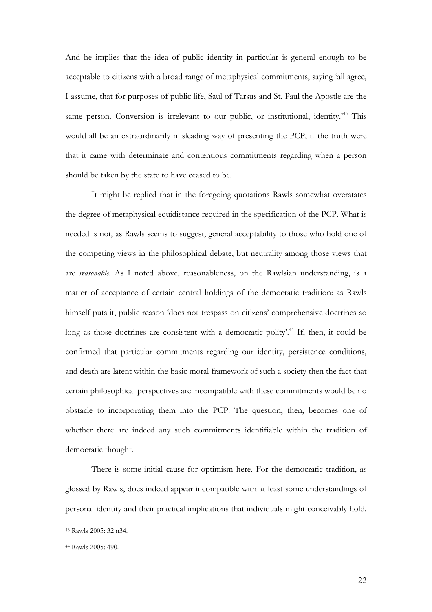And he implies that the idea of public identity in particular is general enough to be acceptable to citizens with a broad range of metaphysical commitments, saying 'all agree, I assume, that for purposes of public life, Saul of Tarsus and St. Paul the Apostle are the same person. Conversion is irrelevant to our public, or institutional, identity.<sup>43</sup> This would all be an extraordinarily misleading way of presenting the PCP, if the truth were that it came with determinate and contentious commitments regarding when a person should be taken by the state to have ceased to be.

It might be replied that in the foregoing quotations Rawls somewhat overstates the degree of metaphysical equidistance required in the specification of the PCP. What is needed is not, as Rawls seems to suggest, general acceptability to those who hold one of the competing views in the philosophical debate, but neutrality among those views that are *reasonable*. As I noted above, reasonableness, on the Rawlsian understanding, is a matter of acceptance of certain central holdings of the democratic tradition: as Rawls himself puts it, public reason 'does not trespass on citizens' comprehensive doctrines so long as those doctrines are consistent with a democratic polity'.<sup>44</sup> If, then, it could be confirmed that particular commitments regarding our identity, persistence conditions, and death are latent within the basic moral framework of such a society then the fact that certain philosophical perspectives are incompatible with these commitments would be no obstacle to incorporating them into the PCP. The question, then, becomes one of whether there are indeed any such commitments identifiable within the tradition of democratic thought.

There is some initial cause for optimism here. For the democratic tradition, as glossed by Rawls, does indeed appear incompatible with at least some understandings of personal identity and their practical implications that individuals might conceivably hold.

<sup>43</sup> Rawls 2005: 32 n34.

<sup>44</sup> Rawls 2005: 490.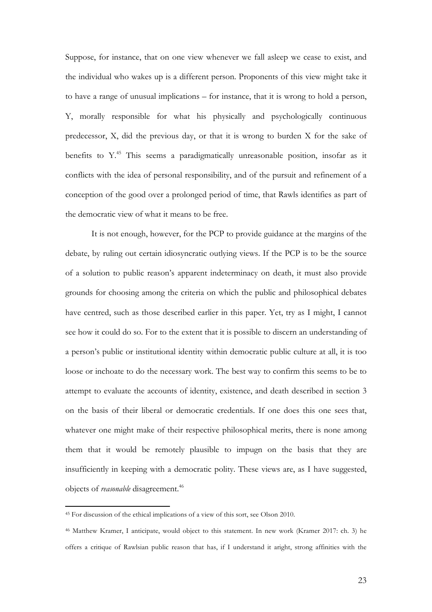Suppose, for instance, that on one view whenever we fall asleep we cease to exist, and the individual who wakes up is a different person. Proponents of this view might take it to have a range of unusual implications – for instance, that it is wrong to hold a person, Y, morally responsible for what his physically and psychologically continuous predecessor, X, did the previous day, or that it is wrong to burden X for the sake of benefits to Y<sup>45</sup> This seems a paradigmatically unreasonable position, insofar as it conflicts with the idea of personal responsibility, and of the pursuit and refinement of a conception of the good over a prolonged period of time, that Rawls identifies as part of the democratic view of what it means to be free.

It is not enough, however, for the PCP to provide guidance at the margins of the debate, by ruling out certain idiosyncratic outlying views. If the PCP is to be the source of a solution to public reason's apparent indeterminacy on death, it must also provide grounds for choosing among the criteria on which the public and philosophical debates have centred, such as those described earlier in this paper. Yet, try as I might, I cannot see how it could do so. For to the extent that it is possible to discern an understanding of a person's public or institutional identity within democratic public culture at all, it is too loose or inchoate to do the necessary work. The best way to confirm this seems to be to attempt to evaluate the accounts of identity, existence, and death described in section 3 on the basis of their liberal or democratic credentials. If one does this one sees that, whatever one might make of their respective philosophical merits, there is none among them that it would be remotely plausible to impugn on the basis that they are insufficiently in keeping with a democratic polity. These views are, as I have suggested, objects of *reasonable* disagreement.<sup>46</sup>

<sup>45</sup> For discussion of the ethical implications of a view of this sort, see Olson 2010.

<sup>46</sup> Matthew Kramer, I anticipate, would object to this statement. In new work (Kramer 2017: ch. 3) he offers a critique of Rawlsian public reason that has, if I understand it aright, strong affinities with the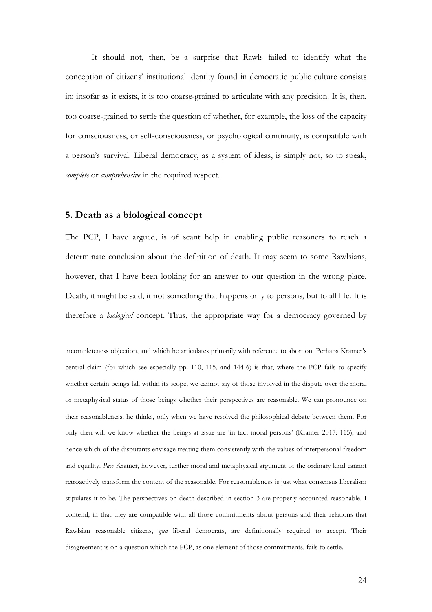It should not, then, be a surprise that Rawls failed to identify what the conception of citizens' institutional identity found in democratic public culture consists in: insofar as it exists, it is too coarse-grained to articulate with any precision. It is, then, too coarse-grained to settle the question of whether, for example, the loss of the capacity for consciousness, or self-consciousness, or psychological continuity, is compatible with a person's survival. Liberal democracy, as a system of ideas, is simply not, so to speak, *complete* or *comprehensive* in the required respect.

#### **5. Death as a biological concept**

The PCP, I have argued, is of scant help in enabling public reasoners to reach a determinate conclusion about the definition of death. It may seem to some Rawlsians, however, that I have been looking for an answer to our question in the wrong place. Death, it might be said, it not something that happens only to persons, but to all life. It is therefore a *biological* concept. Thus, the appropriate way for a democracy governed by

<u> 1989 - Jan Samuel Barbara, martxa a shekara 1980 - Anna a shekara 1980 - Anna a shekara 1980 - Anna a shekar</u>

incompleteness objection, and which he articulates primarily with reference to abortion. Perhaps Kramer's central claim (for which see especially pp. 110, 115, and 144-6) is that, where the PCP fails to specify whether certain beings fall within its scope, we cannot say of those involved in the dispute over the moral or metaphysical status of those beings whether their perspectives are reasonable. We can pronounce on their reasonableness, he thinks, only when we have resolved the philosophical debate between them. For only then will we know whether the beings at issue are 'in fact moral persons' (Kramer 2017: 115), and hence which of the disputants envisage treating them consistently with the values of interpersonal freedom and equality. *Pace* Kramer, however, further moral and metaphysical argument of the ordinary kind cannot retroactively transform the content of the reasonable. For reasonableness is just what consensus liberalism stipulates it to be. The perspectives on death described in section 3 are properly accounted reasonable, I contend, in that they are compatible with all those commitments about persons and their relations that Rawlsian reasonable citizens, *qua* liberal democrats, are definitionally required to accept. Their disagreement is on a question which the PCP, as one element of those commitments, fails to settle.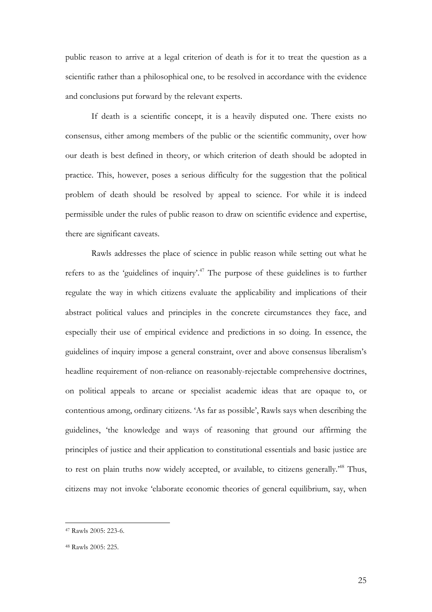public reason to arrive at a legal criterion of death is for it to treat the question as a scientific rather than a philosophical one, to be resolved in accordance with the evidence and conclusions put forward by the relevant experts.

If death is a scientific concept, it is a heavily disputed one. There exists no consensus, either among members of the public or the scientific community, over how our death is best defined in theory, or which criterion of death should be adopted in practice. This, however, poses a serious difficulty for the suggestion that the political problem of death should be resolved by appeal to science. For while it is indeed permissible under the rules of public reason to draw on scientific evidence and expertise, there are significant caveats.

Rawls addresses the place of science in public reason while setting out what he refers to as the 'guidelines of inquiry'.47 The purpose of these guidelines is to further regulate the way in which citizens evaluate the applicability and implications of their abstract political values and principles in the concrete circumstances they face, and especially their use of empirical evidence and predictions in so doing. In essence, the guidelines of inquiry impose a general constraint, over and above consensus liberalism's headline requirement of non-reliance on reasonably-rejectable comprehensive doctrines, on political appeals to arcane or specialist academic ideas that are opaque to, or contentious among, ordinary citizens. 'As far as possible', Rawls says when describing the guidelines, 'the knowledge and ways of reasoning that ground our affirming the principles of justice and their application to constitutional essentials and basic justice are to rest on plain truths now widely accepted, or available, to citizens generally.<sup>48</sup> Thus, citizens may not invoke 'elaborate economic theories of general equilibrium, say, when

<sup>47</sup> Rawls 2005: 223-6.

<sup>48</sup> Rawls 2005: 225.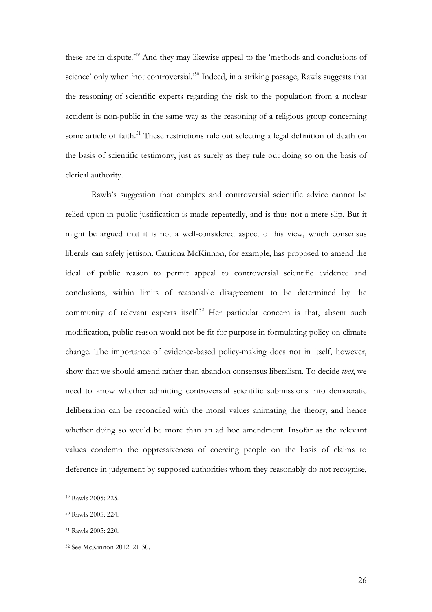these are in dispute.'49 And they may likewise appeal to the 'methods and conclusions of science' only when 'not controversial.'<sup>50</sup> Indeed, in a striking passage, Rawls suggests that the reasoning of scientific experts regarding the risk to the population from a nuclear accident is non-public in the same way as the reasoning of a religious group concerning some article of faith.<sup>51</sup> These restrictions rule out selecting a legal definition of death on the basis of scientific testimony, just as surely as they rule out doing so on the basis of clerical authority.

Rawls's suggestion that complex and controversial scientific advice cannot be relied upon in public justification is made repeatedly, and is thus not a mere slip. But it might be argued that it is not a well-considered aspect of his view, which consensus liberals can safely jettison. Catriona McKinnon, for example, has proposed to amend the ideal of public reason to permit appeal to controversial scientific evidence and conclusions, within limits of reasonable disagreement to be determined by the community of relevant experts itself.<sup>52</sup> Her particular concern is that, absent such modification, public reason would not be fit for purpose in formulating policy on climate change. The importance of evidence-based policy-making does not in itself, however, show that we should amend rather than abandon consensus liberalism. To decide *that*, we need to know whether admitting controversial scientific submissions into democratic deliberation can be reconciled with the moral values animating the theory, and hence whether doing so would be more than an ad hoc amendment. Insofar as the relevant values condemn the oppressiveness of coercing people on the basis of claims to deference in judgement by supposed authorities whom they reasonably do not recognise,

<sup>49</sup> Rawls 2005: 225.

<sup>50</sup> Rawls 2005: 224.

<sup>51</sup> Rawls 2005: 220.

<sup>52</sup> See McKinnon 2012: 21-30.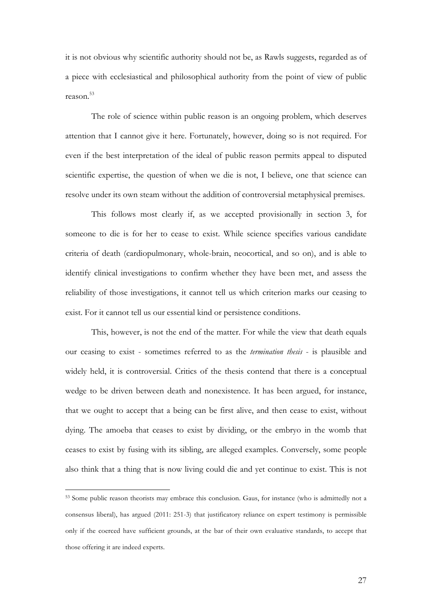it is not obvious why scientific authority should not be, as Rawls suggests, regarded as of a piece with ecclesiastical and philosophical authority from the point of view of public reason $^{53}$ 

The role of science within public reason is an ongoing problem, which deserves attention that I cannot give it here. Fortunately, however, doing so is not required. For even if the best interpretation of the ideal of public reason permits appeal to disputed scientific expertise, the question of when we die is not, I believe, one that science can resolve under its own steam without the addition of controversial metaphysical premises.

This follows most clearly if, as we accepted provisionally in section 3, for someone to die is for her to cease to exist. While science specifies various candidate criteria of death (cardiopulmonary, whole-brain, neocortical, and so on), and is able to identify clinical investigations to confirm whether they have been met, and assess the reliability of those investigations, it cannot tell us which criterion marks our ceasing to exist. For it cannot tell us our essential kind or persistence conditions.

This, however, is not the end of the matter. For while the view that death equals our ceasing to exist - sometimes referred to as the *termination thesis* - is plausible and widely held, it is controversial. Critics of the thesis contend that there is a conceptual wedge to be driven between death and nonexistence. It has been argued, for instance, that we ought to accept that a being can be first alive, and then cease to exist, without dying. The amoeba that ceases to exist by dividing, or the embryo in the womb that ceases to exist by fusing with its sibling, are alleged examples. Conversely, some people also think that a thing that is now living could die and yet continue to exist. This is not

<sup>53</sup> Some public reason theorists may embrace this conclusion. Gaus, for instance (who is admittedly not a consensus liberal), has argued (2011: 251-3) that justificatory reliance on expert testimony is permissible only if the coerced have sufficient grounds, at the bar of their own evaluative standards, to accept that those offering it are indeed experts.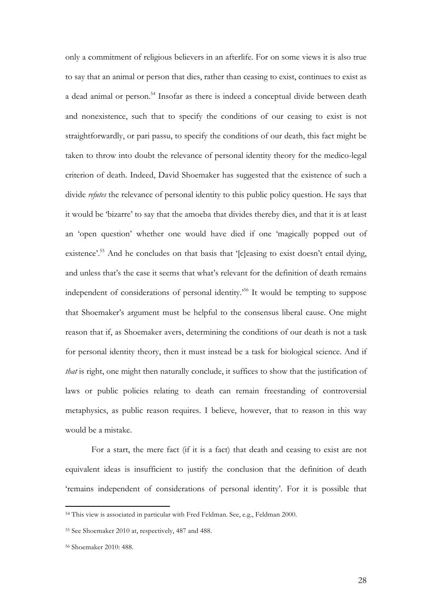only a commitment of religious believers in an afterlife. For on some views it is also true to say that an animal or person that dies, rather than ceasing to exist, continues to exist as a dead animal or person.<sup>54</sup> Insofar as there is indeed a conceptual divide between death and nonexistence, such that to specify the conditions of our ceasing to exist is not straightforwardly, or pari passu, to specify the conditions of our death, this fact might be taken to throw into doubt the relevance of personal identity theory for the medico-legal criterion of death. Indeed, David Shoemaker has suggested that the existence of such a divide *refutes* the relevance of personal identity to this public policy question. He says that it would be 'bizarre' to say that the amoeba that divides thereby dies, and that it is at least an 'open question' whether one would have died if one 'magically popped out of existence'.<sup>55</sup> And he concludes on that basis that '[c]easing to exist doesn't entail dying, and unless that's the case it seems that what's relevant for the definition of death remains independent of considerations of personal identity.<sup>56</sup> It would be tempting to suppose that Shoemaker's argument must be helpful to the consensus liberal cause. One might reason that if, as Shoemaker avers, determining the conditions of our death is not a task for personal identity theory, then it must instead be a task for biological science. And if *that* is right, one might then naturally conclude, it suffices to show that the justification of laws or public policies relating to death can remain freestanding of controversial metaphysics, as public reason requires. I believe, however, that to reason in this way would be a mistake.

For a start, the mere fact (if it is a fact) that death and ceasing to exist are not equivalent ideas is insufficient to justify the conclusion that the definition of death 'remains independent of considerations of personal identity'. For it is possible that

<sup>54</sup> This view is associated in particular with Fred Feldman. See, e.g., Feldman 2000.

<sup>55</sup> See Shoemaker 2010 at, respectively, 487 and 488.

<sup>56</sup> Shoemaker 2010: 488.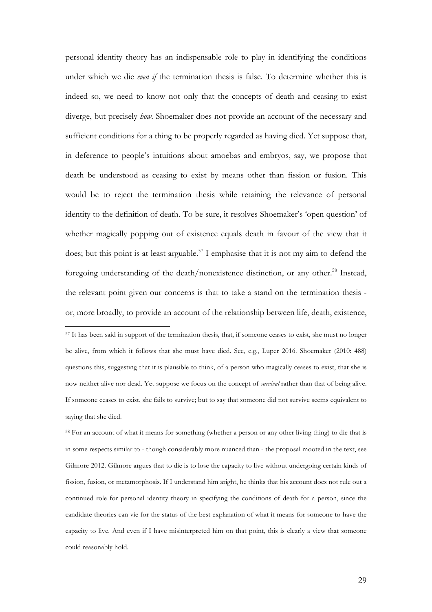personal identity theory has an indispensable role to play in identifying the conditions under which we die *even if* the termination thesis is false. To determine whether this is indeed so, we need to know not only that the concepts of death and ceasing to exist diverge, but precisely *how*. Shoemaker does not provide an account of the necessary and sufficient conditions for a thing to be properly regarded as having died. Yet suppose that, in deference to people's intuitions about amoebas and embryos, say, we propose that death be understood as ceasing to exist by means other than fission or fusion. This would be to reject the termination thesis while retaining the relevance of personal identity to the definition of death. To be sure, it resolves Shoemaker's 'open question' of whether magically popping out of existence equals death in favour of the view that it does; but this point is at least arguable.<sup>57</sup> I emphasise that it is not my aim to defend the foregoing understanding of the death/nonexistence distinction, or any other.<sup>58</sup> Instead, the relevant point given our concerns is that to take a stand on the termination thesis or, more broadly, to provide an account of the relationship between life, death, existence,

<sup>57</sup> It has been said in support of the termination thesis, that, if someone ceases to exist, she must no longer be alive, from which it follows that she must have died. See, e.g., Luper 2016. Shoemaker (2010: 488) questions this, suggesting that it is plausible to think, of a person who magically ceases to exist, that she is now neither alive nor dead. Yet suppose we focus on the concept of *survival* rather than that of being alive. If someone ceases to exist, she fails to survive; but to say that someone did not survive seems equivalent to saying that she died.

 

<sup>58</sup> For an account of what it means for something (whether a person or any other living thing) to die that is in some respects similar to - though considerably more nuanced than - the proposal mooted in the text, see Gilmore 2012. Gilmore argues that to die is to lose the capacity to live without undergoing certain kinds of fission, fusion, or metamorphosis. If I understand him aright, he thinks that his account does not rule out a continued role for personal identity theory in specifying the conditions of death for a person, since the candidate theories can vie for the status of the best explanation of what it means for someone to have the capacity to live. And even if I have misinterpreted him on that point, this is clearly a view that someone could reasonably hold.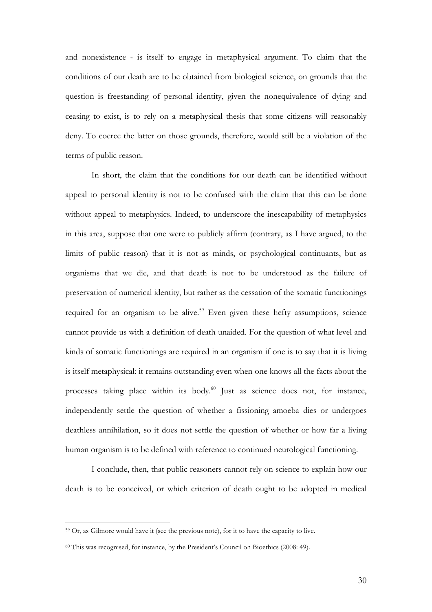and nonexistence - is itself to engage in metaphysical argument. To claim that the conditions of our death are to be obtained from biological science, on grounds that the question is freestanding of personal identity, given the nonequivalence of dying and ceasing to exist, is to rely on a metaphysical thesis that some citizens will reasonably deny. To coerce the latter on those grounds, therefore, would still be a violation of the terms of public reason.

In short, the claim that the conditions for our death can be identified without appeal to personal identity is not to be confused with the claim that this can be done without appeal to metaphysics. Indeed, to underscore the inescapability of metaphysics in this area, suppose that one were to publicly affirm (contrary, as I have argued, to the limits of public reason) that it is not as minds, or psychological continuants, but as organisms that we die, and that death is not to be understood as the failure of preservation of numerical identity, but rather as the cessation of the somatic functionings required for an organism to be alive.<sup>59</sup> Even given these hefty assumptions, science cannot provide us with a definition of death unaided. For the question of what level and kinds of somatic functionings are required in an organism if one is to say that it is living is itself metaphysical: it remains outstanding even when one knows all the facts about the processes taking place within its body.<sup>60</sup> Just as science does not, for instance, independently settle the question of whether a fissioning amoeba dies or undergoes deathless annihilation, so it does not settle the question of whether or how far a living human organism is to be defined with reference to continued neurological functioning.

I conclude, then, that public reasoners cannot rely on science to explain how our death is to be conceived, or which criterion of death ought to be adopted in medical

<sup>59</sup> Or, as Gilmore would have it (see the previous note), for it to have the capacity to live.

<sup>60</sup> This was recognised, for instance, by the President's Council on Bioethics (2008: 49).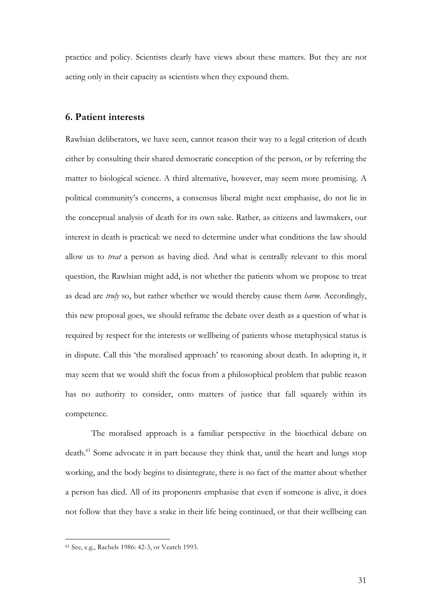practice and policy. Scientists clearly have views about these matters. But they are not acting only in their capacity as scientists when they expound them.

## **6. Patient interests**

Rawlsian deliberators, we have seen, cannot reason their way to a legal criterion of death either by consulting their shared democratic conception of the person, or by referring the matter to biological science. A third alternative, however, may seem more promising. A political community's concerns, a consensus liberal might next emphasise, do not lie in the conceptual analysis of death for its own sake. Rather, as citizens and lawmakers, our interest in death is practical: we need to determine under what conditions the law should allow us to *treat* a person as having died. And what is centrally relevant to this moral question, the Rawlsian might add, is not whether the patients whom we propose to treat as dead are *truly* so, but rather whether we would thereby cause them *harm*. Accordingly, this new proposal goes, we should reframe the debate over death as a question of what is required by respect for the interests or wellbeing of patients whose metaphysical status is in dispute. Call this 'the moralised approach' to reasoning about death. In adopting it, it may seem that we would shift the focus from a philosophical problem that public reason has no authority to consider, onto matters of justice that fall squarely within its competence.

The moralised approach is a familiar perspective in the bioethical debate on death.<sup>61</sup> Some advocate it in part because they think that, until the heart and lungs stop working, and the body begins to disintegrate, there is no fact of the matter about whether a person has died. All of its proponents emphasise that even if someone is alive, it does not follow that they have a stake in their life being continued, or that their wellbeing can

<sup>61</sup> See, e.g., Rachels 1986: 42-3, or Veatch 1993.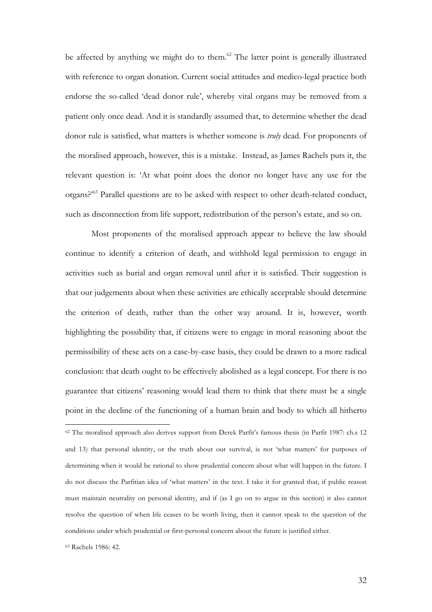be affected by anything we might do to them.<sup>62</sup> The latter point is generally illustrated with reference to organ donation. Current social attitudes and medico-legal practice both endorse the so-called 'dead donor rule', whereby vital organs may be removed from a patient only once dead. And it is standardly assumed that, to determine whether the dead donor rule is satisfied, what matters is whether someone is *truly* dead. For proponents of the moralised approach, however, this is a mistake. Instead, as James Rachels puts it, the relevant question is: 'At what point does the donor no longer have any use for the organs?'63 Parallel questions are to be asked with respect to other death-related conduct, such as disconnection from life support, redistribution of the person's estate, and so on.

Most proponents of the moralised approach appear to believe the law should continue to identify a criterion of death, and withhold legal permission to engage in activities such as burial and organ removal until after it is satisfied. Their suggestion is that our judgements about when these activities are ethically acceptable should determine the criterion of death, rather than the other way around. It is, however, worth highlighting the possibility that, if citizens were to engage in moral reasoning about the permissibility of these acts on a case-by-case basis, they could be drawn to a more radical conclusion: that death ought to be effectively abolished as a legal concept. For there is no guarantee that citizens' reasoning would lead them to think that there must be a single point in the decline of the functioning of a human brain and body to which all hitherto

<sup>62</sup> The moralised approach also derives support from Derek Parfit's famous thesis (in Parfit 1987: ch.s 12 and 13) that personal identity, or the truth about our survival, is not 'what matters' for purposes of determining when it would be rational to show prudential concern about what will happen in the future. I do not discuss the Parfitian idea of 'what matters' in the text. I take it for granted that, if public reason must maintain neutrality on personal identity, and if (as I go on to argue in this section) it also cannot resolve the question of when life ceases to be worth living, then it cannot speak to the question of the conditions under which prudential or first-personal concern about the future is justified either.

<sup>63</sup> Rachels 1986: 42.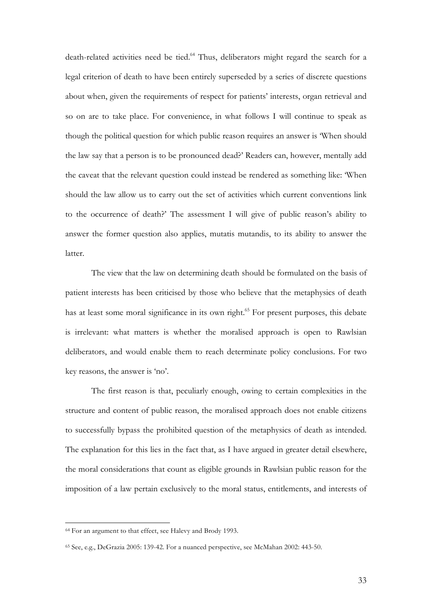death-related activities need be tied.<sup>64</sup> Thus, deliberators might regard the search for a legal criterion of death to have been entirely superseded by a series of discrete questions about when, given the requirements of respect for patients' interests, organ retrieval and so on are to take place. For convenience, in what follows I will continue to speak as though the political question for which public reason requires an answer is 'When should the law say that a person is to be pronounced dead?' Readers can, however, mentally add the caveat that the relevant question could instead be rendered as something like: 'When should the law allow us to carry out the set of activities which current conventions link to the occurrence of death?' The assessment I will give of public reason's ability to answer the former question also applies, mutatis mutandis, to its ability to answer the latter.

The view that the law on determining death should be formulated on the basis of patient interests has been criticised by those who believe that the metaphysics of death has at least some moral significance in its own right.<sup>65</sup> For present purposes, this debate is irrelevant: what matters is whether the moralised approach is open to Rawlsian deliberators, and would enable them to reach determinate policy conclusions. For two key reasons, the answer is 'no'.

The first reason is that, peculiarly enough, owing to certain complexities in the structure and content of public reason, the moralised approach does not enable citizens to successfully bypass the prohibited question of the metaphysics of death as intended. The explanation for this lies in the fact that, as I have argued in greater detail elsewhere, the moral considerations that count as eligible grounds in Rawlsian public reason for the imposition of a law pertain exclusively to the moral status, entitlements, and interests of

<sup>64</sup> For an argument to that effect, see Halevy and Brody 1993.

<sup>65</sup> See, e.g., DeGrazia 2005: 139-42. For a nuanced perspective, see McMahan 2002: 443-50.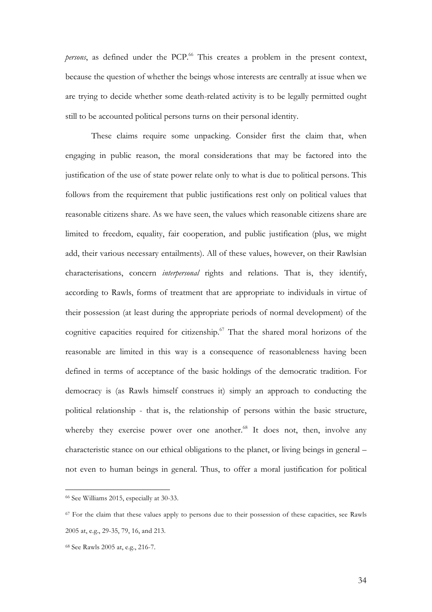*persons*, as defined under the PCP.<sup>66</sup> This creates a problem in the present context, because the question of whether the beings whose interests are centrally at issue when we are trying to decide whether some death-related activity is to be legally permitted ought still to be accounted political persons turns on their personal identity.

These claims require some unpacking. Consider first the claim that, when engaging in public reason, the moral considerations that may be factored into the justification of the use of state power relate only to what is due to political persons. This follows from the requirement that public justifications rest only on political values that reasonable citizens share. As we have seen, the values which reasonable citizens share are limited to freedom, equality, fair cooperation, and public justification (plus, we might add, their various necessary entailments). All of these values, however, on their Rawlsian characterisations, concern *interpersonal* rights and relations. That is, they identify, according to Rawls, forms of treatment that are appropriate to individuals in virtue of their possession (at least during the appropriate periods of normal development) of the cognitive capacities required for citizenship.<sup>67</sup> That the shared moral horizons of the reasonable are limited in this way is a consequence of reasonableness having been defined in terms of acceptance of the basic holdings of the democratic tradition. For democracy is (as Rawls himself construes it) simply an approach to conducting the political relationship - that is, the relationship of persons within the basic structure, whereby they exercise power over one another. $68$  It does not, then, involve any characteristic stance on our ethical obligations to the planet, or living beings in general – not even to human beings in general. Thus, to offer a moral justification for political

 <sup>66</sup> See Williams 2015, especially at 30-33.

<sup>&</sup>lt;sup>67</sup> For the claim that these values apply to persons due to their possession of these capacities, see Rawls 2005 at, e.g., 29-35, 79, 16, and 213.

<sup>68</sup> See Rawls 2005 at, e.g., 216-7.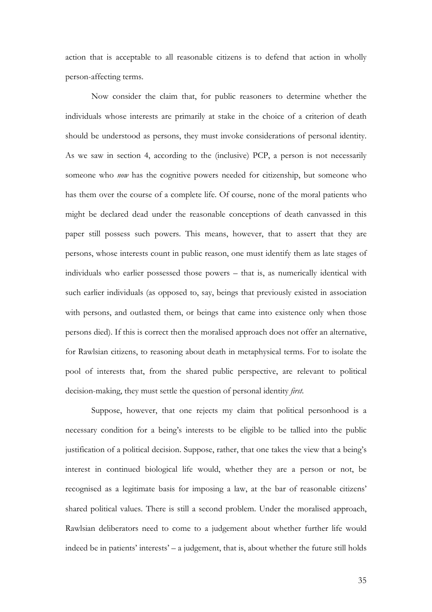action that is acceptable to all reasonable citizens is to defend that action in wholly person-affecting terms.

Now consider the claim that, for public reasoners to determine whether the individuals whose interests are primarily at stake in the choice of a criterion of death should be understood as persons, they must invoke considerations of personal identity. As we saw in section 4, according to the (inclusive) PCP, a person is not necessarily someone who *now* has the cognitive powers needed for citizenship, but someone who has them over the course of a complete life. Of course, none of the moral patients who might be declared dead under the reasonable conceptions of death canvassed in this paper still possess such powers. This means, however, that to assert that they are persons, whose interests count in public reason, one must identify them as late stages of individuals who earlier possessed those powers – that is, as numerically identical with such earlier individuals (as opposed to, say, beings that previously existed in association with persons, and outlasted them, or beings that came into existence only when those persons died). If this is correct then the moralised approach does not offer an alternative, for Rawlsian citizens, to reasoning about death in metaphysical terms. For to isolate the pool of interests that, from the shared public perspective, are relevant to political decision-making, they must settle the question of personal identity *first*.

Suppose, however, that one rejects my claim that political personhood is a necessary condition for a being's interests to be eligible to be tallied into the public justification of a political decision. Suppose, rather, that one takes the view that a being's interest in continued biological life would, whether they are a person or not, be recognised as a legitimate basis for imposing a law, at the bar of reasonable citizens' shared political values. There is still a second problem. Under the moralised approach, Rawlsian deliberators need to come to a judgement about whether further life would indeed be in patients' interests' – a judgement, that is, about whether the future still holds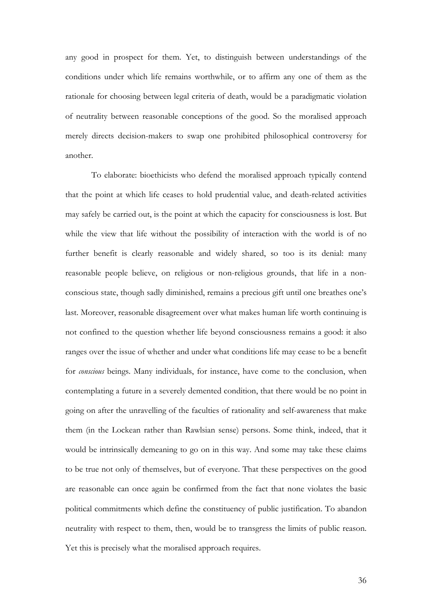any good in prospect for them. Yet, to distinguish between understandings of the conditions under which life remains worthwhile, or to affirm any one of them as the rationale for choosing between legal criteria of death, would be a paradigmatic violation of neutrality between reasonable conceptions of the good. So the moralised approach merely directs decision-makers to swap one prohibited philosophical controversy for another.

To elaborate: bioethicists who defend the moralised approach typically contend that the point at which life ceases to hold prudential value, and death-related activities may safely be carried out, is the point at which the capacity for consciousness is lost. But while the view that life without the possibility of interaction with the world is of no further benefit is clearly reasonable and widely shared, so too is its denial: many reasonable people believe, on religious or non-religious grounds, that life in a nonconscious state, though sadly diminished, remains a precious gift until one breathes one's last. Moreover, reasonable disagreement over what makes human life worth continuing is not confined to the question whether life beyond consciousness remains a good: it also ranges over the issue of whether and under what conditions life may cease to be a benefit for *conscious* beings. Many individuals, for instance, have come to the conclusion, when contemplating a future in a severely demented condition, that there would be no point in going on after the unravelling of the faculties of rationality and self-awareness that make them (in the Lockean rather than Rawlsian sense) persons. Some think, indeed, that it would be intrinsically demeaning to go on in this way. And some may take these claims to be true not only of themselves, but of everyone. That these perspectives on the good are reasonable can once again be confirmed from the fact that none violates the basic political commitments which define the constituency of public justification. To abandon neutrality with respect to them, then, would be to transgress the limits of public reason. Yet this is precisely what the moralised approach requires.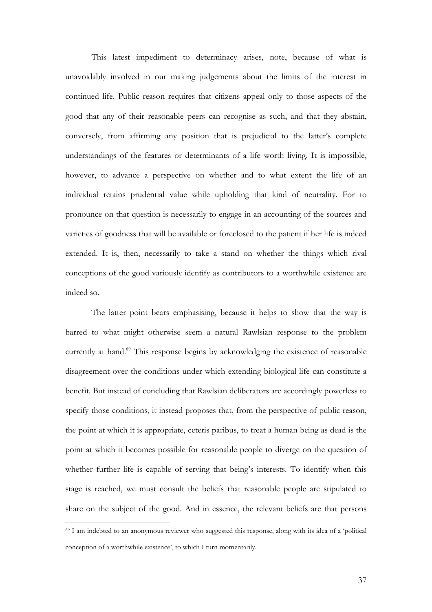This latest impediment to determinacy arises, note, because of what is unavoidably involved in our making judgements about the limits of the interest in continued life. Public reason requires that citizens appeal only to those aspects of the good that any of their reasonable peers can recognise as such, and that they abstain, conversely, from affirming any position that is prejudicial to the latter's complete understandings of the features or determinants of a life worth living. It is impossible, however, to advance a perspective on whether and to what extent the life of an individual retains prudential value while upholding that kind of neutrality. For to pronounce on that question is necessarily to engage in an accounting of the sources and varieties of goodness that will be available or foreclosed to the patient if her life is indeed extended. It is, then, necessarily to take a stand on whether the things which rival conceptions of the good variously identify as contributors to a worthwhile existence are indeed so.

The latter point bears emphasising, because it helps to show that the way is barred to what might otherwise seem a natural Rawlsian response to the problem currently at hand.<sup>69</sup> This response begins by acknowledging the existence of reasonable disagreement over the conditions under which extending biological life can constitute a benefit. But instead of concluding that Rawlsian deliberators are accordingly powerless to specify those conditions, it instead proposes that, from the perspective of public reason, the point at which it is appropriate, ceteris paribus, to treat a human being as dead is the point at which it becomes possible for reasonable people to diverge on the question of whether further life is capable of serving that being's interests. To identify when this stage is reached, we must consult the beliefs that reasonable people are stipulated to share on the subject of the good. And in essence, the relevant beliefs are that persons

<sup>69</sup> I am indebted to an anonymous reviewer who suggested this response, along with its idea of a 'political conception of a worthwhile existence', to which I turn momentarily.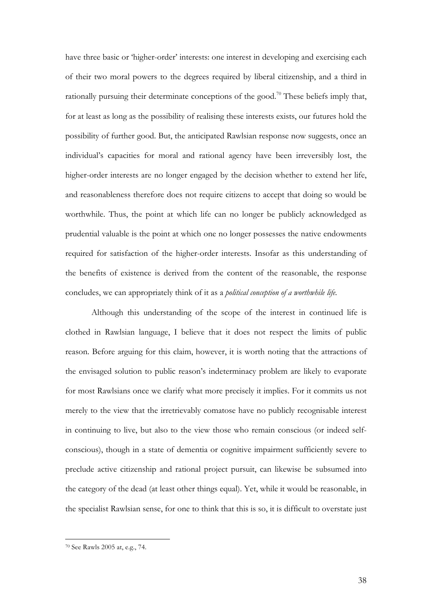have three basic or 'higher-order' interests: one interest in developing and exercising each of their two moral powers to the degrees required by liberal citizenship, and a third in rationally pursuing their determinate conceptions of the good.<sup>70</sup> These beliefs imply that, for at least as long as the possibility of realising these interests exists, our futures hold the possibility of further good. But, the anticipated Rawlsian response now suggests, once an individual's capacities for moral and rational agency have been irreversibly lost, the higher-order interests are no longer engaged by the decision whether to extend her life, and reasonableness therefore does not require citizens to accept that doing so would be worthwhile. Thus, the point at which life can no longer be publicly acknowledged as prudential valuable is the point at which one no longer possesses the native endowments required for satisfaction of the higher-order interests. Insofar as this understanding of the benefits of existence is derived from the content of the reasonable, the response concludes, we can appropriately think of it as a *political conception of a worthwhile life*.

Although this understanding of the scope of the interest in continued life is clothed in Rawlsian language, I believe that it does not respect the limits of public reason. Before arguing for this claim, however, it is worth noting that the attractions of the envisaged solution to public reason's indeterminacy problem are likely to evaporate for most Rawlsians once we clarify what more precisely it implies. For it commits us not merely to the view that the irretrievably comatose have no publicly recognisable interest in continuing to live, but also to the view those who remain conscious (or indeed selfconscious), though in a state of dementia or cognitive impairment sufficiently severe to preclude active citizenship and rational project pursuit, can likewise be subsumed into the category of the dead (at least other things equal). Yet, while it would be reasonable, in the specialist Rawlsian sense, for one to think that this is so, it is difficult to overstate just

<sup>70</sup> See Rawls 2005 at, e.g., 74.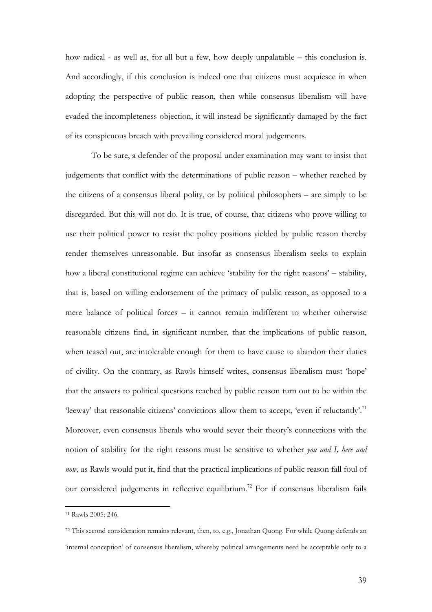how radical - as well as, for all but a few, how deeply unpalatable – this conclusion is. And accordingly, if this conclusion is indeed one that citizens must acquiesce in when adopting the perspective of public reason, then while consensus liberalism will have evaded the incompleteness objection, it will instead be significantly damaged by the fact of its conspicuous breach with prevailing considered moral judgements.

To be sure, a defender of the proposal under examination may want to insist that judgements that conflict with the determinations of public reason – whether reached by the citizens of a consensus liberal polity, or by political philosophers – are simply to be disregarded. But this will not do. It is true, of course, that citizens who prove willing to use their political power to resist the policy positions yielded by public reason thereby render themselves unreasonable. But insofar as consensus liberalism seeks to explain how a liberal constitutional regime can achieve 'stability for the right reasons' – stability, that is, based on willing endorsement of the primacy of public reason, as opposed to a mere balance of political forces – it cannot remain indifferent to whether otherwise reasonable citizens find, in significant number, that the implications of public reason, when teased out, are intolerable enough for them to have cause to abandon their duties of civility. On the contrary, as Rawls himself writes, consensus liberalism must 'hope' that the answers to political questions reached by public reason turn out to be within the 'leeway' that reasonable citizens' convictions allow them to accept, 'even if reluctantly'.<sup>71</sup> Moreover, even consensus liberals who would sever their theory's connections with the notion of stability for the right reasons must be sensitive to whether *you and I, here and now*, as Rawls would put it, find that the practical implications of public reason fall foul of our considered judgements in reflective equilibrium.<sup>72</sup> For if consensus liberalism fails

<sup>71</sup> Rawls 2005: 246.

<sup>72</sup> This second consideration remains relevant, then, to, e.g., Jonathan Quong. For while Quong defends an 'internal conception' of consensus liberalism, whereby political arrangements need be acceptable only to a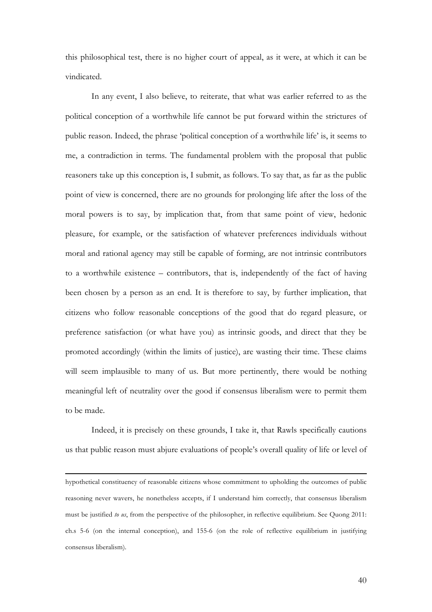this philosophical test, there is no higher court of appeal, as it were, at which it can be vindicated.

In any event, I also believe, to reiterate, that what was earlier referred to as the political conception of a worthwhile life cannot be put forward within the strictures of public reason. Indeed, the phrase 'political conception of a worthwhile life' is, it seems to me, a contradiction in terms. The fundamental problem with the proposal that public reasoners take up this conception is, I submit, as follows. To say that, as far as the public point of view is concerned, there are no grounds for prolonging life after the loss of the moral powers is to say, by implication that, from that same point of view, hedonic pleasure, for example, or the satisfaction of whatever preferences individuals without moral and rational agency may still be capable of forming, are not intrinsic contributors to a worthwhile existence – contributors, that is, independently of the fact of having been chosen by a person as an end. It is therefore to say, by further implication, that citizens who follow reasonable conceptions of the good that do regard pleasure, or preference satisfaction (or what have you) as intrinsic goods, and direct that they be promoted accordingly (within the limits of justice), are wasting their time. These claims will seem implausible to many of us. But more pertinently, there would be nothing meaningful left of neutrality over the good if consensus liberalism were to permit them to be made.

Indeed, it is precisely on these grounds, I take it, that Rawls specifically cautions us that public reason must abjure evaluations of people's overall quality of life or level of

<u> 1989 - Jan Samuel Barbara, martxa a shekara 1980 - Anna a shekara 1980 - Anna a shekara 1980 - Anna a shekar</u>

hypothetical constituency of reasonable citizens whose commitment to upholding the outcomes of public reasoning never wavers, he nonetheless accepts, if I understand him correctly, that consensus liberalism must be justified *to us*, from the perspective of the philosopher, in reflective equilibrium. See Quong 2011: ch.s 5-6 (on the internal conception), and 155-6 (on the role of reflective equilibrium in justifying consensus liberalism).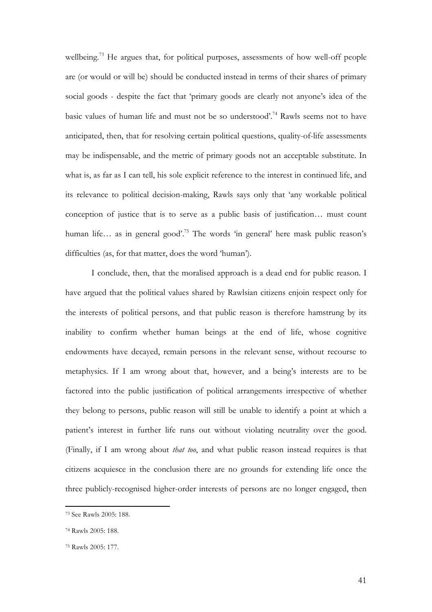wellbeing.<sup>73</sup> He argues that, for political purposes, assessments of how well-off people are (or would or will be) should be conducted instead in terms of their shares of primary social goods - despite the fact that 'primary goods are clearly not anyone's idea of the basic values of human life and must not be so understood'.74 Rawls seems not to have anticipated, then, that for resolving certain political questions, quality-of-life assessments may be indispensable, and the metric of primary goods not an acceptable substitute. In what is, as far as I can tell, his sole explicit reference to the interest in continued life, and its relevance to political decision-making, Rawls says only that 'any workable political conception of justice that is to serve as a public basis of justification… must count human life… as in general good'.<sup>75</sup> The words 'in general' here mask public reason's difficulties (as, for that matter, does the word 'human').

I conclude, then, that the moralised approach is a dead end for public reason. I have argued that the political values shared by Rawlsian citizens enjoin respect only for the interests of political persons, and that public reason is therefore hamstrung by its inability to confirm whether human beings at the end of life, whose cognitive endowments have decayed, remain persons in the relevant sense, without recourse to metaphysics. If I am wrong about that, however, and a being's interests are to be factored into the public justification of political arrangements irrespective of whether they belong to persons, public reason will still be unable to identify a point at which a patient's interest in further life runs out without violating neutrality over the good. (Finally, if I am wrong about *that too*, and what public reason instead requires is that citizens acquiesce in the conclusion there are no grounds for extending life once the three publicly-recognised higher-order interests of persons are no longer engaged, then

<sup>73</sup> See Rawls 2005: 188.

<sup>74</sup> Rawls 2005: 188.

<sup>75</sup> Rawls 2005: 177.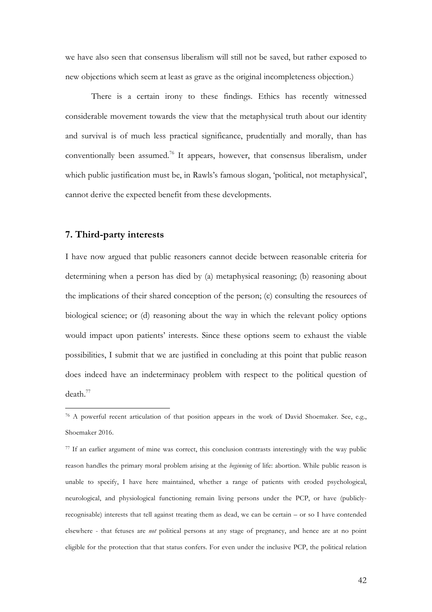we have also seen that consensus liberalism will still not be saved, but rather exposed to new objections which seem at least as grave as the original incompleteness objection.)

There is a certain irony to these findings. Ethics has recently witnessed considerable movement towards the view that the metaphysical truth about our identity and survival is of much less practical significance, prudentially and morally, than has conventionally been assumed.76 It appears, however, that consensus liberalism, under which public justification must be, in Rawls's famous slogan, 'political, not metaphysical', cannot derive the expected benefit from these developments.

## **7. Third-party interests**

 

I have now argued that public reasoners cannot decide between reasonable criteria for determining when a person has died by (a) metaphysical reasoning; (b) reasoning about the implications of their shared conception of the person; (c) consulting the resources of biological science; or (d) reasoning about the way in which the relevant policy options would impact upon patients' interests. Since these options seem to exhaust the viable possibilities, I submit that we are justified in concluding at this point that public reason does indeed have an indeterminacy problem with respect to the political question of death.<sup>77</sup>

<sup>76</sup> A powerful recent articulation of that position appears in the work of David Shoemaker. See, e.g., Shoemaker 2016.

<sup>&</sup>lt;sup>77</sup> If an earlier argument of mine was correct, this conclusion contrasts interestingly with the way public reason handles the primary moral problem arising at the *beginning* of life: abortion. While public reason is unable to specify, I have here maintained, whether a range of patients with eroded psychological, neurological, and physiological functioning remain living persons under the PCP, or have (publiclyrecognisable) interests that tell against treating them as dead, we can be certain – or so I have contended elsewhere - that fetuses are *not* political persons at any stage of pregnancy, and hence are at no point eligible for the protection that that status confers. For even under the inclusive PCP, the political relation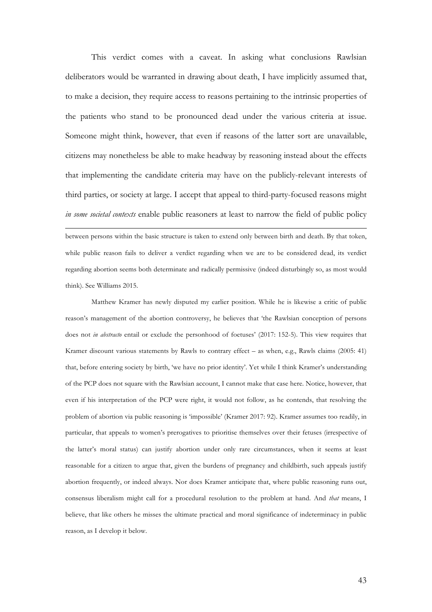This verdict comes with a caveat. In asking what conclusions Rawlsian deliberators would be warranted in drawing about death, I have implicitly assumed that, to make a decision, they require access to reasons pertaining to the intrinsic properties of the patients who stand to be pronounced dead under the various criteria at issue. Someone might think, however, that even if reasons of the latter sort are unavailable, citizens may nonetheless be able to make headway by reasoning instead about the effects that implementing the candidate criteria may have on the publicly-relevant interests of third parties, or society at large. I accept that appeal to third-party-focused reasons might *in some societal contexts* enable public reasoners at least to narrow the field of public policy <u> 1989 - Jan Samuel Barbara, martxa a shekara 1980 - Anna a shekara 1980 - Anna a shekara 1980 - Anna a shekar</u>

between persons within the basic structure is taken to extend only between birth and death. By that token, while public reason fails to deliver a verdict regarding when we are to be considered dead, its verdict regarding abortion seems both determinate and radically permissive (indeed disturbingly so, as most would think). See Williams 2015.

Matthew Kramer has newly disputed my earlier position. While he is likewise a critic of public reason's management of the abortion controversy, he believes that 'the Rawlsian conception of persons does not *in abstracto* entail or exclude the personhood of foetuses' (2017: 152-5). This view requires that Kramer discount various statements by Rawls to contrary effect – as when, e.g., Rawls claims (2005: 41) that, before entering society by birth, 'we have no prior identity'. Yet while I think Kramer's understanding of the PCP does not square with the Rawlsian account, I cannot make that case here. Notice, however, that even if his interpretation of the PCP were right, it would not follow, as he contends, that resolving the problem of abortion via public reasoning is 'impossible' (Kramer 2017: 92). Kramer assumes too readily, in particular, that appeals to women's prerogatives to prioritise themselves over their fetuses (irrespective of the latter's moral status) can justify abortion under only rare circumstances, when it seems at least reasonable for a citizen to argue that, given the burdens of pregnancy and childbirth, such appeals justify abortion frequently, or indeed always. Nor does Kramer anticipate that, where public reasoning runs out, consensus liberalism might call for a procedural resolution to the problem at hand. And *that* means, I believe, that like others he misses the ultimate practical and moral significance of indeterminacy in public reason, as I develop it below.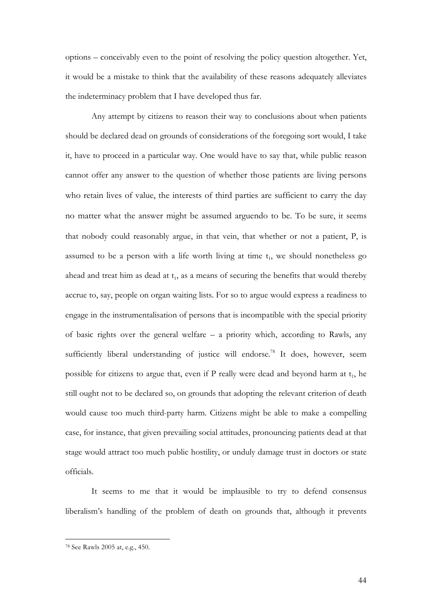options – conceivably even to the point of resolving the policy question altogether. Yet, it would be a mistake to think that the availability of these reasons adequately alleviates the indeterminacy problem that I have developed thus far.

Any attempt by citizens to reason their way to conclusions about when patients should be declared dead on grounds of considerations of the foregoing sort would, I take it, have to proceed in a particular way. One would have to say that, while public reason cannot offer any answer to the question of whether those patients are living persons who retain lives of value, the interests of third parties are sufficient to carry the day no matter what the answer might be assumed arguendo to be. To be sure, it seems that nobody could reasonably argue, in that vein, that whether or not a patient, P, is assumed to be a person with a life worth living at time  $t_1$ , we should nonetheless go ahead and treat him as dead at  $t_1$ , as a means of securing the benefits that would thereby accrue to, say, people on organ waiting lists. For so to argue would express a readiness to engage in the instrumentalisation of persons that is incompatible with the special priority of basic rights over the general welfare – a priority which, according to Rawls, any sufficiently liberal understanding of justice will endorse.<sup>78</sup> It does, however, seem possible for citizens to argue that, even if P really were dead and beyond harm at  $t_1$ , he still ought not to be declared so, on grounds that adopting the relevant criterion of death would cause too much third-party harm. Citizens might be able to make a compelling case, for instance, that given prevailing social attitudes, pronouncing patients dead at that stage would attract too much public hostility, or unduly damage trust in doctors or state officials.

It seems to me that it would be implausible to try to defend consensus liberalism's handling of the problem of death on grounds that, although it prevents

<sup>78</sup> See Rawls 2005 at, e.g., 450.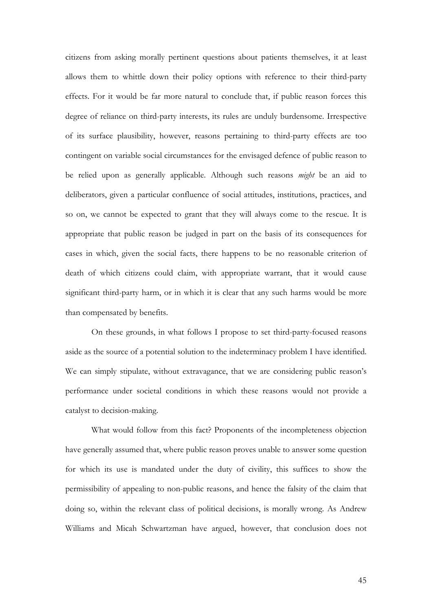citizens from asking morally pertinent questions about patients themselves, it at least allows them to whittle down their policy options with reference to their third-party effects. For it would be far more natural to conclude that, if public reason forces this degree of reliance on third-party interests, its rules are unduly burdensome. Irrespective of its surface plausibility, however, reasons pertaining to third-party effects are too contingent on variable social circumstances for the envisaged defence of public reason to be relied upon as generally applicable. Although such reasons *might* be an aid to deliberators, given a particular confluence of social attitudes, institutions, practices, and so on, we cannot be expected to grant that they will always come to the rescue. It is appropriate that public reason be judged in part on the basis of its consequences for cases in which, given the social facts, there happens to be no reasonable criterion of death of which citizens could claim, with appropriate warrant, that it would cause significant third-party harm, or in which it is clear that any such harms would be more than compensated by benefits.

On these grounds, in what follows I propose to set third-party-focused reasons aside as the source of a potential solution to the indeterminacy problem I have identified. We can simply stipulate, without extravagance, that we are considering public reason's performance under societal conditions in which these reasons would not provide a catalyst to decision-making.

What would follow from this fact? Proponents of the incompleteness objection have generally assumed that, where public reason proves unable to answer some question for which its use is mandated under the duty of civility, this suffices to show the permissibility of appealing to non-public reasons, and hence the falsity of the claim that doing so, within the relevant class of political decisions, is morally wrong. As Andrew Williams and Micah Schwartzman have argued, however, that conclusion does not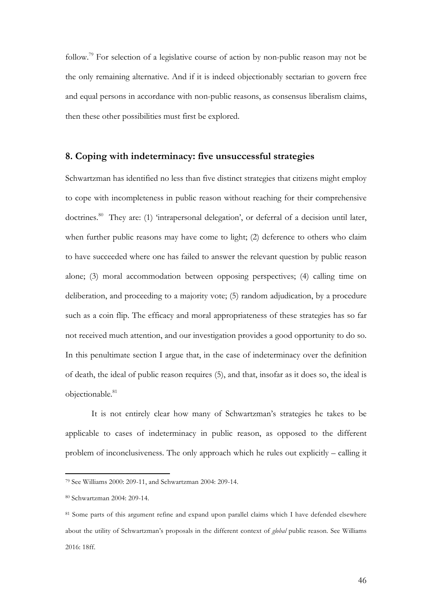follow.79 For selection of a legislative course of action by non-public reason may not be the only remaining alternative. And if it is indeed objectionably sectarian to govern free and equal persons in accordance with non-public reasons, as consensus liberalism claims, then these other possibilities must first be explored.

### **8. Coping with indeterminacy: five unsuccessful strategies**

Schwartzman has identified no less than five distinct strategies that citizens might employ to cope with incompleteness in public reason without reaching for their comprehensive doctrines.<sup>80</sup> They are: (1) 'intrapersonal delegation', or deferral of a decision until later, when further public reasons may have come to light; (2) deference to others who claim to have succeeded where one has failed to answer the relevant question by public reason alone; (3) moral accommodation between opposing perspectives; (4) calling time on deliberation, and proceeding to a majority vote; (5) random adjudication, by a procedure such as a coin flip. The efficacy and moral appropriateness of these strategies has so far not received much attention, and our investigation provides a good opportunity to do so. In this penultimate section I argue that, in the case of indeterminacy over the definition of death, the ideal of public reason requires (5), and that, insofar as it does so, the ideal is objectionable.<sup>81</sup>

It is not entirely clear how many of Schwartzman's strategies he takes to be applicable to cases of indeterminacy in public reason, as opposed to the different problem of inconclusiveness. The only approach which he rules out explicitly – calling it

<sup>79</sup> See Williams 2000: 209-11, and Schwartzman 2004: 209-14.

<sup>80</sup> Schwartzman 2004: 209-14.

<sup>81</sup> Some parts of this argument refine and expand upon parallel claims which I have defended elsewhere about the utility of Schwartzman's proposals in the different context of *global* public reason. See Williams 2016: 18ff.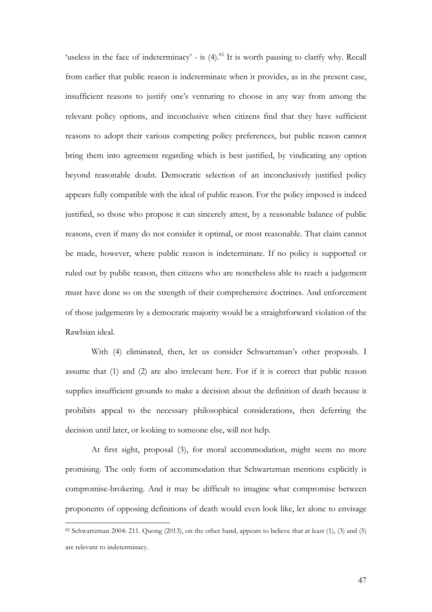'useless in the face of indeterminacy' - is  $(4)$ .<sup>82</sup> It is worth pausing to clarify why. Recall from earlier that public reason is indeterminate when it provides, as in the present case, insufficient reasons to justify one's venturing to choose in any way from among the relevant policy options, and inconclusive when citizens find that they have sufficient reasons to adopt their various competing policy preferences, but public reason cannot bring them into agreement regarding which is best justified, by vindicating any option beyond reasonable doubt. Democratic selection of an inconclusively justified policy appears fully compatible with the ideal of public reason. For the policy imposed is indeed justified, so those who propose it can sincerely attest, by a reasonable balance of public reasons, even if many do not consider it optimal, or most reasonable. That claim cannot be made, however, where public reason is indeterminate. If no policy is supported or ruled out by public reason, then citizens who are nonetheless able to reach a judgement must have done so on the strength of their comprehensive doctrines. And enforcement of those judgements by a democratic majority would be a straightforward violation of the Rawlsian ideal.

With (4) eliminated, then, let us consider Schwartzman's other proposals. I assume that (1) and (2) are also irrelevant here. For if it is correct that public reason supplies insufficient grounds to make a decision about the definition of death because it prohibits appeal to the necessary philosophical considerations, then deferring the decision until later, or looking to someone else, will not help.

At first sight, proposal (3), for moral accommodation, might seem no more promising. The only form of accommodation that Schwartzman mentions explicitly is compromise-brokering. And it may be difficult to imagine what compromise between proponents of opposing definitions of death would even look like, let alone to envisage

<sup>82</sup> Schwartzman 2004: 211. Quong (2013), on the other hand, appears to believe that at least (1), (3) and (5) are relevant to indeterminacy.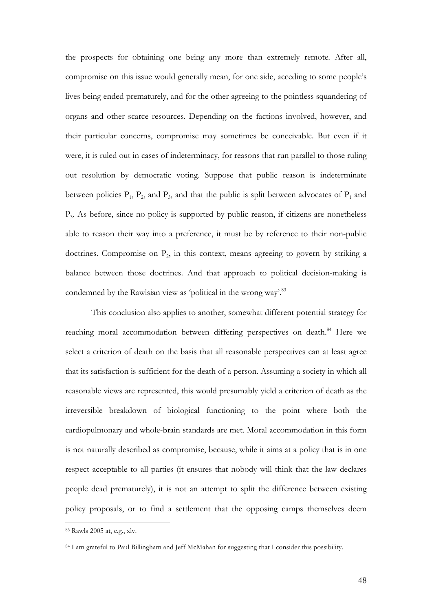the prospects for obtaining one being any more than extremely remote. After all, compromise on this issue would generally mean, for one side, acceding to some people's lives being ended prematurely, and for the other agreeing to the pointless squandering of organs and other scarce resources. Depending on the factions involved, however, and their particular concerns, compromise may sometimes be conceivable. But even if it were, it is ruled out in cases of indeterminacy, for reasons that run parallel to those ruling out resolution by democratic voting. Suppose that public reason is indeterminate between policies  $P_1$ ,  $P_2$ , and  $P_3$ , and that the public is split between advocates of  $P_1$  and  $P<sub>3</sub>$ . As before, since no policy is supported by public reason, if citizens are nonetheless able to reason their way into a preference, it must be by reference to their non-public doctrines. Compromise on  $P_2$ , in this context, means agreeing to govern by striking a balance between those doctrines. And that approach to political decision-making is condemned by the Rawlsian view as 'political in the wrong way'.<sup>83</sup>

This conclusion also applies to another, somewhat different potential strategy for reaching moral accommodation between differing perspectives on death.<sup>84</sup> Here we select a criterion of death on the basis that all reasonable perspectives can at least agree that its satisfaction is sufficient for the death of a person. Assuming a society in which all reasonable views are represented, this would presumably yield a criterion of death as the irreversible breakdown of biological functioning to the point where both the cardiopulmonary and whole-brain standards are met. Moral accommodation in this form is not naturally described as compromise, because, while it aims at a policy that is in one respect acceptable to all parties (it ensures that nobody will think that the law declares people dead prematurely), it is not an attempt to split the difference between existing policy proposals, or to find a settlement that the opposing camps themselves deem

<sup>83</sup> Rawls 2005 at, e.g., xlv.

<sup>84</sup> I am grateful to Paul Billingham and Jeff McMahan for suggesting that I consider this possibility.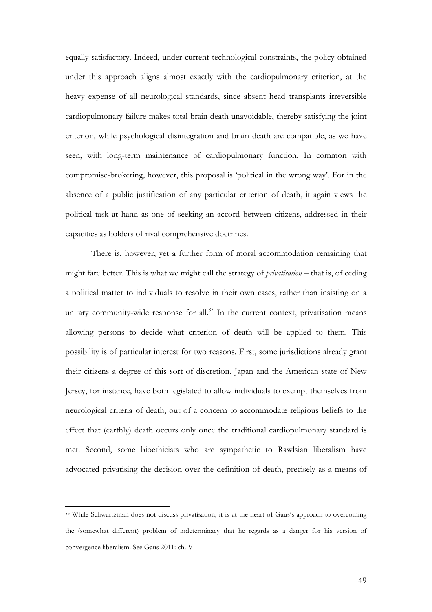equally satisfactory. Indeed, under current technological constraints, the policy obtained under this approach aligns almost exactly with the cardiopulmonary criterion, at the heavy expense of all neurological standards, since absent head transplants irreversible cardiopulmonary failure makes total brain death unavoidable, thereby satisfying the joint criterion, while psychological disintegration and brain death are compatible, as we have seen, with long-term maintenance of cardiopulmonary function. In common with compromise-brokering, however, this proposal is 'political in the wrong way'. For in the absence of a public justification of any particular criterion of death, it again views the political task at hand as one of seeking an accord between citizens, addressed in their capacities as holders of rival comprehensive doctrines.

There is, however, yet a further form of moral accommodation remaining that might fare better. This is what we might call the strategy of *privatisation* – that is, of ceding a political matter to individuals to resolve in their own cases, rather than insisting on a unitary community-wide response for all.<sup>85</sup> In the current context, privatisation means allowing persons to decide what criterion of death will be applied to them. This possibility is of particular interest for two reasons. First, some jurisdictions already grant their citizens a degree of this sort of discretion. Japan and the American state of New Jersey, for instance, have both legislated to allow individuals to exempt themselves from neurological criteria of death, out of a concern to accommodate religious beliefs to the effect that (earthly) death occurs only once the traditional cardiopulmonary standard is met. Second, some bioethicists who are sympathetic to Rawlsian liberalism have advocated privatising the decision over the definition of death, precisely as a means of

<sup>85</sup> While Schwartzman does not discuss privatisation, it is at the heart of Gaus's approach to overcoming the (somewhat different) problem of indeterminacy that he regards as a danger for his version of convergence liberalism. See Gaus 2011: ch. VI.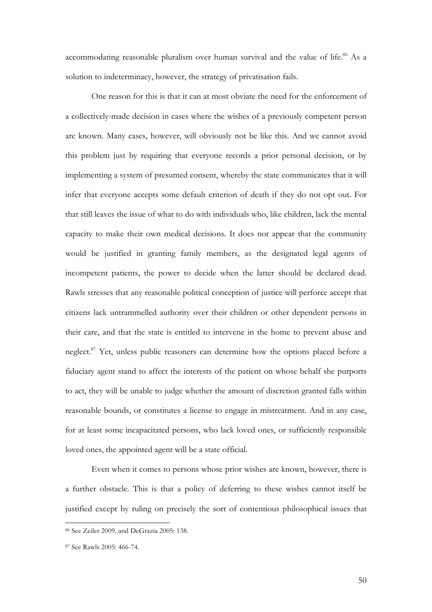accommodating reasonable pluralism over human survival and the value of life.<sup>86</sup> As a solution to indeterminacy, however, the strategy of privatisation fails.

One reason for this is that it can at most obviate the need for the enforcement of a collectively-made decision in cases where the wishes of a previously competent person are known. Many cases, however, will obviously not be like this. And we cannot avoid this problem just by requiring that everyone records a prior personal decision, or by implementing a system of presumed consent, whereby the state communicates that it will infer that everyone accepts some default criterion of death if they do not opt out. For that still leaves the issue of what to do with individuals who, like children, lack the mental capacity to make their own medical decisions. It does not appear that the community would be justified in granting family members, as the designated legal agents of incompetent patients, the power to decide when the latter should be declared dead. Rawls stresses that any reasonable political conception of justice will perforce accept that citizens lack untrammelled authority over their children or other dependent persons in their care, and that the state is entitled to intervene in the home to prevent abuse and neglect.<sup>87</sup> Yet, unless public reasoners can determine how the options placed before a fiduciary agent stand to affect the interests of the patient on whose behalf she purports to act, they will be unable to judge whether the amount of discretion granted falls within reasonable bounds, or constitutes a license to engage in mistreatment. And in any case, for at least some incapacitated persons, who lack loved ones, or sufficiently responsible loved ones, the appointed agent will be a state official.

Even when it comes to persons whose prior wishes are known, however, there is a further obstacle. This is that a policy of deferring to these wishes cannot itself be justified except by ruling on precisely the sort of contentious philosophical issues that

<sup>86</sup> See Zeiler 2009, and DeGrazia 2005: 138.

<sup>87</sup> See Rawls 2005: 466-74.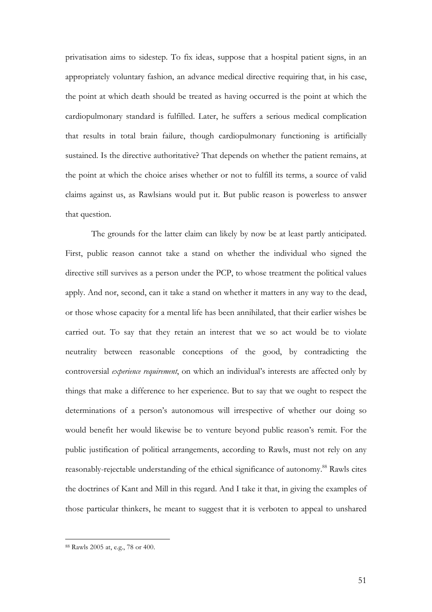privatisation aims to sidestep. To fix ideas, suppose that a hospital patient signs, in an appropriately voluntary fashion, an advance medical directive requiring that, in his case, the point at which death should be treated as having occurred is the point at which the cardiopulmonary standard is fulfilled. Later, he suffers a serious medical complication that results in total brain failure, though cardiopulmonary functioning is artificially sustained. Is the directive authoritative? That depends on whether the patient remains, at the point at which the choice arises whether or not to fulfill its terms, a source of valid claims against us, as Rawlsians would put it. But public reason is powerless to answer that question.

The grounds for the latter claim can likely by now be at least partly anticipated. First, public reason cannot take a stand on whether the individual who signed the directive still survives as a person under the PCP, to whose treatment the political values apply. And nor, second, can it take a stand on whether it matters in any way to the dead, or those whose capacity for a mental life has been annihilated, that their earlier wishes be carried out. To say that they retain an interest that we so act would be to violate neutrality between reasonable conceptions of the good, by contradicting the controversial *experience requirement*, on which an individual's interests are affected only by things that make a difference to her experience. But to say that we ought to respect the determinations of a person's autonomous will irrespective of whether our doing so would benefit her would likewise be to venture beyond public reason's remit. For the public justification of political arrangements, according to Rawls, must not rely on any reasonably-rejectable understanding of the ethical significance of autonomy. <sup>88</sup> Rawls cites the doctrines of Kant and Mill in this regard. And I take it that, in giving the examples of those particular thinkers, he meant to suggest that it is verboten to appeal to unshared

<sup>88</sup> Rawls 2005 at, e.g., 78 or 400.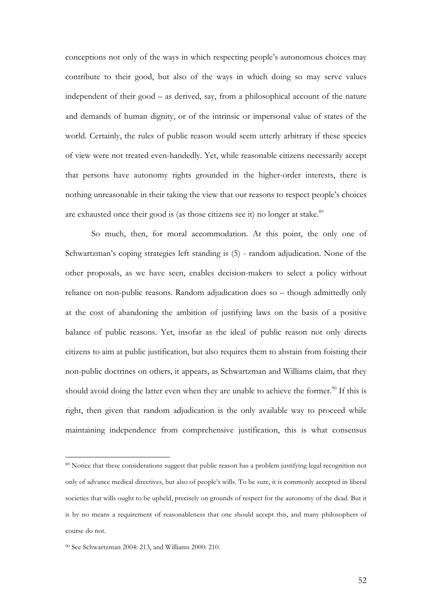conceptions not only of the ways in which respecting people's autonomous choices may contribute to their good, but also of the ways in which doing so may serve values independent of their good – as derived, say, from a philosophical account of the nature and demands of human dignity, or of the intrinsic or impersonal value of states of the world. Certainly, the rules of public reason would seem utterly arbitrary if these species of view were not treated even-handedly. Yet, while reasonable citizens necessarily accept that persons have autonomy rights grounded in the higher-order interests, there is nothing unreasonable in their taking the view that our reasons to respect people's choices are exhausted once their good is (as those citizens see it) no longer at stake.<sup>89</sup>

So much, then, for moral accommodation. At this point, the only one of Schwartzman's coping strategies left standing is (5) - random adjudication. None of the other proposals, as we have seen, enables decision-makers to select a policy without reliance on non-public reasons. Random adjudication does so – though admittedly only at the cost of abandoning the ambition of justifying laws on the basis of a positive balance of public reasons. Yet, insofar as the ideal of public reason not only directs citizens to aim at public justification, but also requires them to abstain from foisting their non-public doctrines on others, it appears, as Schwartzman and Williams claim, that they should avoid doing the latter even when they are unable to achieve the former.<sup>90</sup> If this is right, then given that random adjudication is the only available way to proceed while maintaining independence from comprehensive justification, this is what consensus

<sup>89</sup> Notice that these considerations suggest that public reason has a problem justifying legal recognition not only of advance medical directives, but also of people's wills. To be sure, it is commonly accepted in liberal societies that wills ought to be upheld, precisely on grounds of respect for the autonomy of the dead. But it is by no means a requirement of reasonableness that one should accept this, and many philosophers of course do not.

<sup>90</sup> See Schwartzman 2004: 213, and Williams 2000: 210.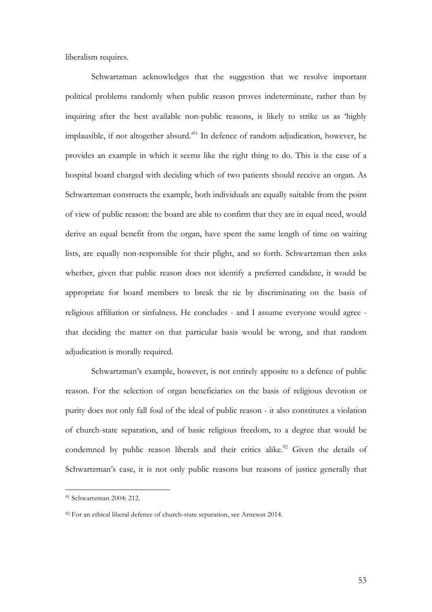liberalism requires.

Schwartzman acknowledges that the suggestion that we resolve important political problems randomly when public reason proves indeterminate, rather than by inquiring after the best available non-public reasons, is likely to strike us as 'highly implausible, if not altogether absurd.'91 In defence of random adjudication, however, he provides an example in which it seems like the right thing to do. This is the case of a hospital board charged with deciding which of two patients should receive an organ. As Schwartzman constructs the example, both individuals are equally suitable from the point of view of public reason: the board are able to confirm that they are in equal need, would derive an equal benefit from the organ, have spent the same length of time on waiting lists, are equally non-responsible for their plight, and so forth. Schwartzman then asks whether, given that public reason does not identify a preferred candidate, it would be appropriate for board members to break the tie by discriminating on the basis of religious affiliation or sinfulness. He concludes - and I assume everyone would agree that deciding the matter on that particular basis would be wrong, and that random adjudication is morally required.

Schwartzman's example, however, is not entirely apposite to a defence of public reason. For the selection of organ beneficiaries on the basis of religious devotion or purity does not only fall foul of the ideal of public reason - it also constitutes a violation of church-state separation, and of basic religious freedom, to a degree that would be condemned by public reason liberals and their critics alike.<sup>92</sup> Given the details of Schwartzman's case, it is not only public reasons but reasons of justice generally that

<sup>91</sup> Schwartzman 2004: 212.

<sup>&</sup>lt;sup>92</sup> For an ethical liberal defence of church-state separation, see Arneson 2014.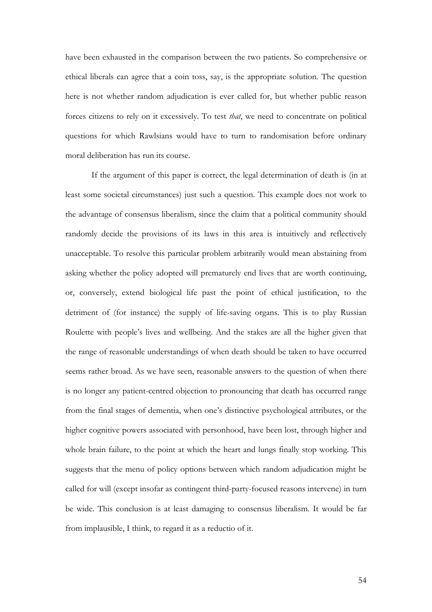have been exhausted in the comparison between the two patients. So comprehensive or ethical liberals can agree that a coin toss, say, is the appropriate solution. The question here is not whether random adjudication is ever called for, but whether public reason forces citizens to rely on it excessively. To test *that*, we need to concentrate on political questions for which Rawlsians would have to turn to randomisation before ordinary moral deliberation has run its course.

If the argument of this paper is correct, the legal determination of death is (in at least some societal circumstances) just such a question. This example does not work to the advantage of consensus liberalism, since the claim that a political community should randomly decide the provisions of its laws in this area is intuitively and reflectively unacceptable. To resolve this particular problem arbitrarily would mean abstaining from asking whether the policy adopted will prematurely end lives that are worth continuing, or, conversely, extend biological life past the point of ethical justification, to the detriment of (for instance) the supply of life-saving organs. This is to play Russian Roulette with people's lives and wellbeing. And the stakes are all the higher given that the range of reasonable understandings of when death should be taken to have occurred seems rather broad. As we have seen, reasonable answers to the question of when there is no longer any patient-centred objection to pronouncing that death has occurred range from the final stages of dementia, when one's distinctive psychological attributes, or the higher cognitive powers associated with personhood, have been lost, through higher and whole brain failure, to the point at which the heart and lungs finally stop working. This suggests that the menu of policy options between which random adjudication might be called for will (except insofar as contingent third-party-focused reasons intervene) in turn be wide. This conclusion is at least damaging to consensus liberalism. It would be far from implausible, I think, to regard it as a reductio of it.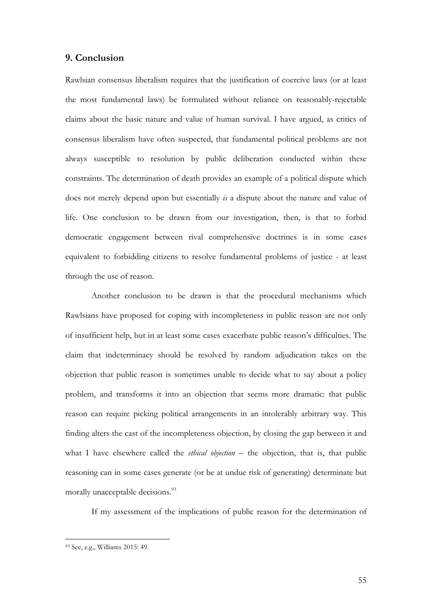# **9. Conclusion**

Rawlsian consensus liberalism requires that the justification of coercive laws (or at least the most fundamental laws) be formulated without reliance on reasonably-rejectable claims about the basic nature and value of human survival. I have argued, as critics of consensus liberalism have often suspected, that fundamental political problems are not always susceptible to resolution by public deliberation conducted within these constraints. The determination of death provides an example of a political dispute which does not merely depend upon but essentially *is* a dispute about the nature and value of life. One conclusion to be drawn from our investigation, then, is that to forbid democratic engagement between rival comprehensive doctrines is in some cases equivalent to forbidding citizens to resolve fundamental problems of justice - at least through the use of reason.

Another conclusion to be drawn is that the procedural mechanisms which Rawlsians have proposed for coping with incompleteness in public reason are not only of insufficient help, but in at least some cases exacerbate public reason's difficulties. The claim that indeterminacy should be resolved by random adjudication takes on the objection that public reason is sometimes unable to decide what to say about a policy problem, and transforms it into an objection that seems more dramatic: that public reason can require picking political arrangements in an intolerably arbitrary way. This finding alters the cast of the incompleteness objection, by closing the gap between it and what I have elsewhere called the *ethical objection* – the objection, that is, that public reasoning can in some cases generate (or be at undue risk of generating) determinate but morally unacceptable decisions.<sup>93</sup>

If my assessment of the implications of public reason for the determination of

<sup>93</sup> See, e.g., Williams 2015: 49.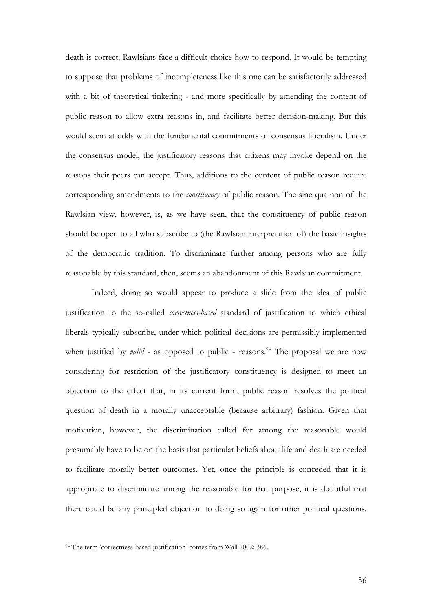death is correct, Rawlsians face a difficult choice how to respond. It would be tempting to suppose that problems of incompleteness like this one can be satisfactorily addressed with a bit of theoretical tinkering - and more specifically by amending the content of public reason to allow extra reasons in, and facilitate better decision-making. But this would seem at odds with the fundamental commitments of consensus liberalism. Under the consensus model, the justificatory reasons that citizens may invoke depend on the reasons their peers can accept. Thus, additions to the content of public reason require corresponding amendments to the *constituency* of public reason. The sine qua non of the Rawlsian view, however, is, as we have seen, that the constituency of public reason should be open to all who subscribe to (the Rawlsian interpretation of) the basic insights of the democratic tradition. To discriminate further among persons who are fully reasonable by this standard, then, seems an abandonment of this Rawlsian commitment.

Indeed, doing so would appear to produce a slide from the idea of public justification to the so-called *correctness-based* standard of justification to which ethical liberals typically subscribe, under which political decisions are permissibly implemented when justified by *valid* - as opposed to public - reasons.<sup>94</sup> The proposal we are now considering for restriction of the justificatory constituency is designed to meet an objection to the effect that, in its current form, public reason resolves the political question of death in a morally unacceptable (because arbitrary) fashion. Given that motivation, however, the discrimination called for among the reasonable would presumably have to be on the basis that particular beliefs about life and death are needed to facilitate morally better outcomes. Yet, once the principle is conceded that it is appropriate to discriminate among the reasonable for that purpose, it is doubtful that there could be any principled objection to doing so again for other political questions.

<sup>&</sup>lt;sup>94</sup> The term 'correctness-based justification' comes from Wall 2002: 386.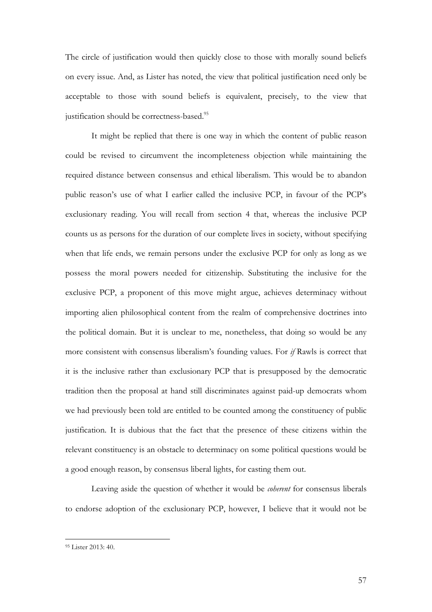The circle of justification would then quickly close to those with morally sound beliefs on every issue. And, as Lister has noted, the view that political justification need only be acceptable to those with sound beliefs is equivalent, precisely, to the view that justification should be correctness-based.<sup>95</sup>

It might be replied that there is one way in which the content of public reason could be revised to circumvent the incompleteness objection while maintaining the required distance between consensus and ethical liberalism. This would be to abandon public reason's use of what I earlier called the inclusive PCP, in favour of the PCP's exclusionary reading. You will recall from section 4 that, whereas the inclusive PCP counts us as persons for the duration of our complete lives in society, without specifying when that life ends, we remain persons under the exclusive PCP for only as long as we possess the moral powers needed for citizenship. Substituting the inclusive for the exclusive PCP, a proponent of this move might argue, achieves determinacy without importing alien philosophical content from the realm of comprehensive doctrines into the political domain. But it is unclear to me, nonetheless, that doing so would be any more consistent with consensus liberalism's founding values. For *if* Rawls is correct that it is the inclusive rather than exclusionary PCP that is presupposed by the democratic tradition then the proposal at hand still discriminates against paid-up democrats whom we had previously been told are entitled to be counted among the constituency of public justification. It is dubious that the fact that the presence of these citizens within the relevant constituency is an obstacle to determinacy on some political questions would be a good enough reason, by consensus liberal lights, for casting them out.

Leaving aside the question of whether it would be *coherent* for consensus liberals to endorse adoption of the exclusionary PCP, however, I believe that it would not be

<sup>95</sup> Lister 2013: 40.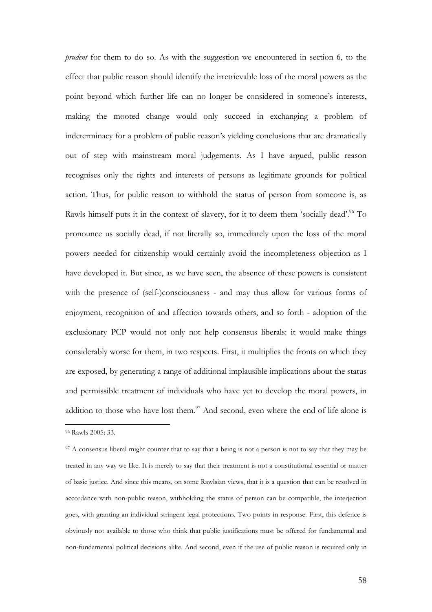*prudent* for them to do so. As with the suggestion we encountered in section 6, to the effect that public reason should identify the irretrievable loss of the moral powers as the point beyond which further life can no longer be considered in someone's interests, making the mooted change would only succeed in exchanging a problem of indeterminacy for a problem of public reason's yielding conclusions that are dramatically out of step with mainstream moral judgements. As I have argued, public reason recognises only the rights and interests of persons as legitimate grounds for political action. Thus, for public reason to withhold the status of person from someone is, as Rawls himself puts it in the context of slavery, for it to deem them 'socially dead'.<sup>96</sup> To pronounce us socially dead, if not literally so, immediately upon the loss of the moral powers needed for citizenship would certainly avoid the incompleteness objection as I have developed it. But since, as we have seen, the absence of these powers is consistent with the presence of (self-)consciousness - and may thus allow for various forms of enjoyment, recognition of and affection towards others, and so forth - adoption of the exclusionary PCP would not only not help consensus liberals: it would make things considerably worse for them, in two respects. First, it multiplies the fronts on which they are exposed, by generating a range of additional implausible implications about the status and permissible treatment of individuals who have yet to develop the moral powers, in addition to those who have lost them. $97$  And second, even where the end of life alone is

<sup>96</sup> Rawls 2005: 33.

<sup>&</sup>lt;sup>97</sup> A consensus liberal might counter that to say that a being is not a person is not to say that they may be treated in any way we like. It is merely to say that their treatment is not a constitutional essential or matter of basic justice. And since this means, on some Rawlsian views, that it is a question that can be resolved in accordance with non-public reason, withholding the status of person can be compatible, the interjection goes, with granting an individual stringent legal protections. Two points in response. First, this defence is obviously not available to those who think that public justifications must be offered for fundamental and non-fundamental political decisions alike. And second, even if the use of public reason is required only in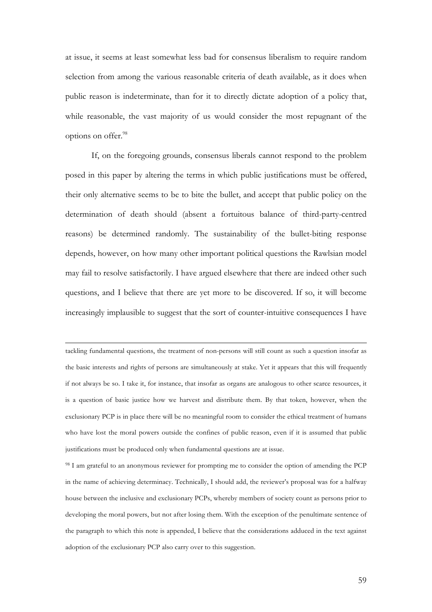at issue, it seems at least somewhat less bad for consensus liberalism to require random selection from among the various reasonable criteria of death available, as it does when public reason is indeterminate, than for it to directly dictate adoption of a policy that, while reasonable, the vast majority of us would consider the most repugnant of the options on offer.<sup>98</sup>

If, on the foregoing grounds, consensus liberals cannot respond to the problem posed in this paper by altering the terms in which public justifications must be offered, their only alternative seems to be to bite the bullet, and accept that public policy on the determination of death should (absent a fortuitous balance of third-party-centred reasons) be determined randomly. The sustainability of the bullet-biting response depends, however, on how many other important political questions the Rawlsian model may fail to resolve satisfactorily. I have argued elsewhere that there are indeed other such questions, and I believe that there are yet more to be discovered. If so, it will become increasingly implausible to suggest that the sort of counter-intuitive consequences I have

tackling fundamental questions, the treatment of non-persons will still count as such a question insofar as the basic interests and rights of persons are simultaneously at stake. Yet it appears that this will frequently if not always be so. I take it, for instance, that insofar as organs are analogous to other scarce resources, it is a question of basic justice how we harvest and distribute them. By that token, however, when the exclusionary PCP is in place there will be no meaningful room to consider the ethical treatment of humans who have lost the moral powers outside the confines of public reason, even if it is assumed that public justifications must be produced only when fundamental questions are at issue.

<u> 1989 - Jan Samuel Barbara, martxa a shekara 1980 - Anna a shekara 1980 - Anna a shekara 1980 - Anna a shekar</u>

<sup>98</sup> I am grateful to an anonymous reviewer for prompting me to consider the option of amending the PCP in the name of achieving determinacy. Technically, I should add, the reviewer's proposal was for a halfway house between the inclusive and exclusionary PCPs, whereby members of society count as persons prior to developing the moral powers, but not after losing them. With the exception of the penultimate sentence of the paragraph to which this note is appended, I believe that the considerations adduced in the text against adoption of the exclusionary PCP also carry over to this suggestion.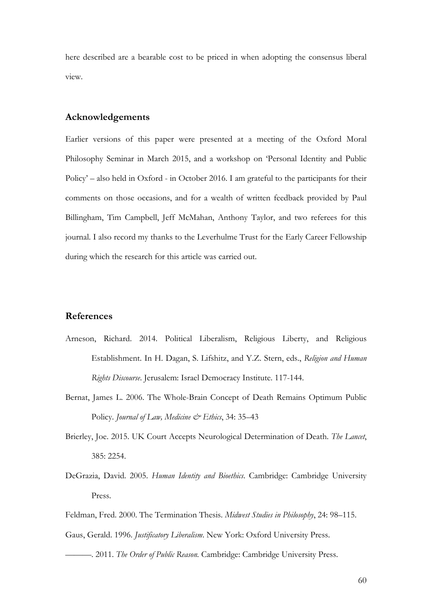here described are a bearable cost to be priced in when adopting the consensus liberal view.

#### **Acknowledgements**

Earlier versions of this paper were presented at a meeting of the Oxford Moral Philosophy Seminar in March 2015, and a workshop on 'Personal Identity and Public Policy' – also held in Oxford - in October 2016. I am grateful to the participants for their comments on those occasions, and for a wealth of written feedback provided by Paul Billingham, Tim Campbell, Jeff McMahan, Anthony Taylor, and two referees for this journal. I also record my thanks to the Leverhulme Trust for the Early Career Fellowship during which the research for this article was carried out.

### **References**

- Arneson, Richard. 2014. Political Liberalism, Religious Liberty, and Religious Establishment. In H. Dagan, S. Lifshitz, and Y.Z. Stern, eds., *Religion and Human Rights Discourse*. Jerusalem: Israel Democracy Institute. 117-144.
- Bernat, James L. 2006. The Whole-Brain Concept of Death Remains Optimum Public Policy. *Journal of Law, Medicine & Ethics*, 34: 35-43
- Brierley, Joe. 2015. UK Court Accepts Neurological Determination of Death. *The Lancet*, 385: 2254.
- DeGrazia, David. 2005. *Human Identity and Bioethics*. Cambridge: Cambridge University Press.
- Feldman, Fred. 2000. The Termination Thesis. *Midwest Studies in Philosophy*, 24: 98–115.

Gaus, Gerald. 1996. *Justificatory Liberalism*. New York: Oxford University Press.

———. 2011. *The Order of Public Reason.* Cambridge: Cambridge University Press.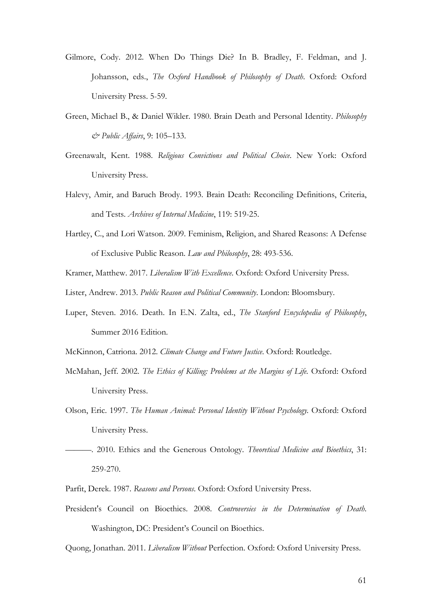- Gilmore, Cody. 2012. When Do Things Die? In B. Bradley, F. Feldman, and J. Johansson, eds., *The Oxford Handbook of Philosophy of Death*. Oxford: Oxford University Press. 5-59.
- Green, Michael B., & Daniel Wikler. 1980. Brain Death and Personal Identity. *Philosophy & Public Affairs*, 9: 105–133.
- Greenawalt, Kent. 1988. *Religious Convictions and Political Choice*. New York: Oxford University Press.
- Halevy, Amir, and Baruch Brody. 1993. Brain Death: Reconciling Definitions, Criteria, and Tests. *Archives of Internal Medicine*, 119: 519-25.
- Hartley, C., and Lori Watson. 2009. Feminism, Religion, and Shared Reasons: A Defense of Exclusive Public Reason. *Law and Philosophy*, 28: 493-536.
- Kramer, Matthew. 2017. *Liberalism With Excellence*. Oxford: Oxford University Press.
- Lister, Andrew. 2013. *Public Reason and Political Community*. London: Bloomsbury.
- Luper, Steven. 2016. Death. In E.N. Zalta, ed., *The Stanford Encyclopedia of Philosophy*, Summer 2016 Edition.
- McKinnon, Catriona. 2012. *Climate Change and Future Justice*. Oxford: Routledge.
- McMahan, Jeff. 2002. *The Ethics of Killing: Problems at the Margins of Life.* Oxford: Oxford University Press.
- Olson, Eric. 1997. *The Human Animal: Personal Identity Without Psychology.* Oxford: Oxford University Press.
- ———. 2010. Ethics and the Generous Ontology. *Theoretical Medicine and Bioethics*, 31: 259-270.
- Parfit, Derek. 1987. *Reasons and Persons*. Oxford: Oxford University Press.
- President's Council on Bioethics. 2008. *Controversies in the Determination of Death*. Washington, DC: President's Council on Bioethics.

Quong, Jonathan. 2011. *Liberalism Without* Perfection. Oxford: Oxford University Press.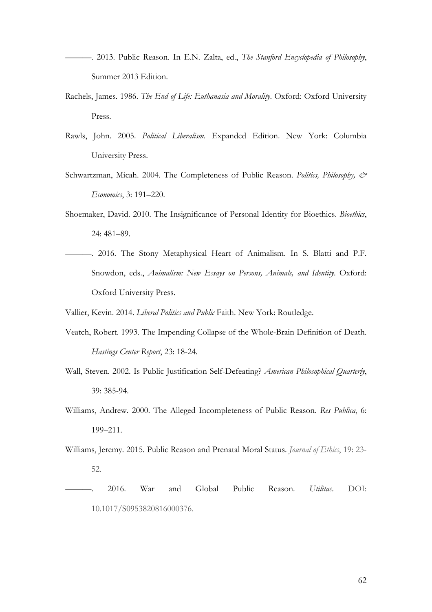- ———. 2013. Public Reason. In E.N. Zalta, ed., *The Stanford Encyclopedia of Philosophy*, Summer 2013 Edition.
- Rachels, James. 1986. *The End of Life: Euthanasia and Morality*. Oxford: Oxford University Press.
- Rawls, John. 2005. *Political Liberalism*. Expanded Edition. New York: Columbia University Press.
- Schwartzman, Micah. 2004. The Completeness of Public Reason. *Politics, Philosophy, & Economics*, 3: 191–220.
- Shoemaker, David. 2010. The Insignificance of Personal Identity for Bioethics. *Bioethics*, 24: 481–89.
- ———. 2016. The Stony Metaphysical Heart of Animalism. In S. Blatti and P.F. Snowdon, eds., *Animalism: New Essays on Persons, Animals, and Identity*. Oxford: Oxford University Press.

Vallier, Kevin. 2014. *Liberal Politics and Public* Faith. New York: Routledge.

- Veatch, Robert. 1993. The Impending Collapse of the Whole-Brain Definition of Death. *Hastings Center Report*, 23: 18-24.
- Wall, Steven. 2002. Is Public Justification Self-Defeating? *American Philosophical Quarterly*, 39: 385-94.
- Williams, Andrew. 2000. The Alleged Incompleteness of Public Reason. *Res Publica*, 6: 199–211.
- Williams, Jeremy. 2015. Public Reason and Prenatal Moral Status. *Journal of Ethics*, 19: 23- 52.
- ———. 2016. War and Global Public Reason. *Utilitas*. DOI: 10.1017/S0953820816000376.